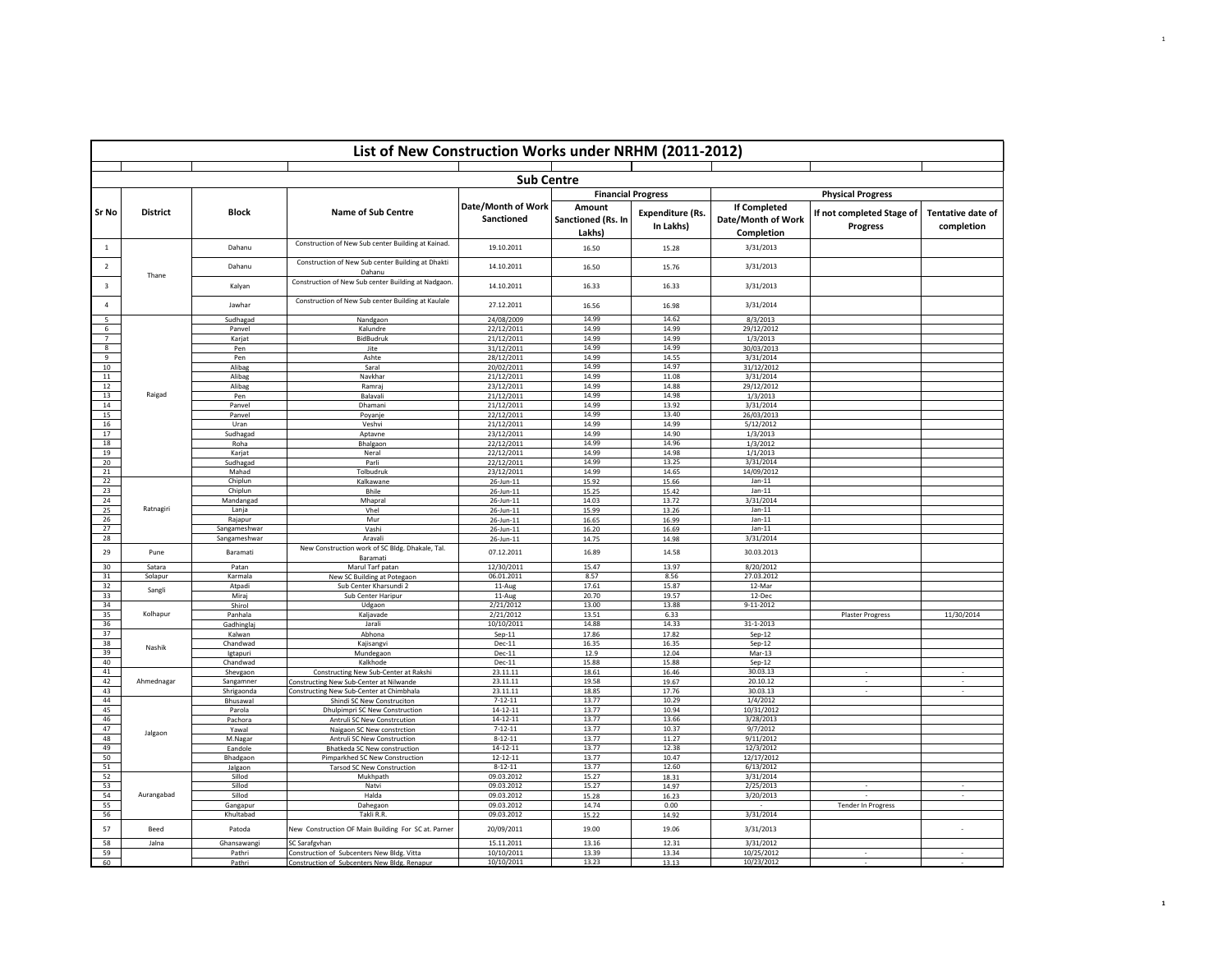| List of New Construction Works under NRHM (2011-2012) |                 |                              |                                                                                            |                                  |                                        |                                                                   |                                                         |                                              |                                        |  |  |
|-------------------------------------------------------|-----------------|------------------------------|--------------------------------------------------------------------------------------------|----------------------------------|----------------------------------------|-------------------------------------------------------------------|---------------------------------------------------------|----------------------------------------------|----------------------------------------|--|--|
|                                                       |                 |                              |                                                                                            |                                  |                                        |                                                                   |                                                         |                                              |                                        |  |  |
|                                                       |                 |                              |                                                                                            | <b>Sub Centre</b>                |                                        |                                                                   |                                                         | <b>Physical Progress</b>                     |                                        |  |  |
| Sr No                                                 | <b>District</b> | <b>Block</b>                 | <b>Name of Sub Centre</b>                                                                  | Date/Month of Work<br>Sanctioned | Amount<br>Sanctioned (Rs. In<br>Lakhs) | <b>Financial Progress</b><br><b>Expenditure (Rs.</b><br>In Lakhs) | <b>If Completed</b><br>Date/Month of Work<br>Completion | If not completed Stage of<br><b>Progress</b> | <b>Tentative date of</b><br>completion |  |  |
| -1                                                    |                 | Dahanu                       | Construction of New Sub center Building at Kainad.                                         | 19.10.2011                       | 16.50                                  | 15.28                                                             | 3/31/2013                                               |                                              |                                        |  |  |
| $\overline{2}$                                        | Thane           | Dahanu                       | Construction of New Sub center Building at Dhakti<br>Dahanu                                | 14.10.2011                       | 16.50                                  | 15.76                                                             | 3/31/2013                                               |                                              |                                        |  |  |
| $\overline{\mathbf{3}}$                               |                 | Kalyan                       | Construction of New Sub center Building at Nadgaon.                                        | 14.10.2011                       | 16.33                                  | 16.33                                                             | 3/31/2013                                               |                                              |                                        |  |  |
| $\overline{a}$                                        |                 | Jawhar                       | Construction of New Sub center Building at Kaulale                                         | 27.12.2011                       | 16.56                                  | 16.98                                                             | 3/31/2014                                               |                                              |                                        |  |  |
| $\overline{5}$                                        |                 | Sudhagad                     | Nandgaon                                                                                   | 24/08/2009                       | 14.99                                  | 14.62                                                             | 8/3/2013                                                |                                              |                                        |  |  |
| 6                                                     |                 | Panvel                       | Kalundre                                                                                   | 22/12/2011                       | 14.99                                  | 14.99                                                             | 29/12/2012                                              |                                              |                                        |  |  |
| $\overline{7}$<br>8                                   |                 | Karjat<br>Pen                | BidBudruk<br>Jite                                                                          | 21/12/2011<br>31/12/2011         | 14.99<br>14.99                         | 14.99<br>14.99                                                    | 1/3/2013<br>30/03/2013                                  |                                              |                                        |  |  |
| 9                                                     |                 | Pen                          | Ashte                                                                                      | 28/12/2011                       | 14.99                                  | 14.55                                                             | 3/31/2014                                               |                                              |                                        |  |  |
| 10                                                    |                 | Alibag                       | Saral                                                                                      | 20/02/2011                       | 14.99                                  | 14.97                                                             | 31/12/2012                                              |                                              |                                        |  |  |
| 11                                                    |                 | Alibag                       | Navkhar                                                                                    | 21/12/2011                       | 14.99                                  | 11.08                                                             | 3/31/2014                                               |                                              |                                        |  |  |
| 12                                                    |                 | Alibag                       | Ramraj                                                                                     | 23/12/2011                       | 14.99                                  | 14.88                                                             | 29/12/2012                                              |                                              |                                        |  |  |
| 13                                                    | Raigad          | Pen                          | Balavali                                                                                   | 21/12/2011                       | 14.99                                  | 14.98                                                             | 1/3/2013                                                |                                              |                                        |  |  |
| 14                                                    |                 | Panvel                       | Dhamani                                                                                    | 21/12/2011                       | 14.99                                  | 13.92                                                             | 3/31/2014                                               |                                              |                                        |  |  |
| 15                                                    |                 | Panyel                       | Poyanje                                                                                    | 22/12/2011                       | 14.99                                  | 13.40                                                             | 26/03/2013                                              |                                              |                                        |  |  |
| 16<br>17                                              |                 | Uran<br>Sudhagad             | Veshvi<br>Aptavne                                                                          | 21/12/2011<br>23/12/2011         | 14.99<br>14.99                         | 14.99<br>14.90                                                    | 5/12/2012<br>1/3/2013                                   |                                              |                                        |  |  |
| 18                                                    |                 | Roha                         | Bhalgaon                                                                                   | 22/12/2011                       | 14.99                                  | 14.96                                                             | 1/3/2012                                                |                                              |                                        |  |  |
| 19                                                    |                 | Karjat                       | Neral                                                                                      | 22/12/2011                       | 14.99                                  | 14.98                                                             | 1/1/2013                                                |                                              |                                        |  |  |
| 20                                                    |                 | Sudhagad                     | Parli                                                                                      | 22/12/2011                       | 14.99                                  | 13.25                                                             | 3/31/2014                                               |                                              |                                        |  |  |
| 21                                                    |                 | Mahad                        | Tolbudruk                                                                                  | 23/12/2011                       | 14.99                                  | 14.65                                                             | 14/09/2012                                              |                                              |                                        |  |  |
| 22                                                    |                 | Chiplun                      | Kalkawane                                                                                  | 26-Jun-11                        | 15.92                                  | 15.66                                                             | $Jan-11$                                                |                                              |                                        |  |  |
| 23                                                    |                 | Chiplun                      | <b>Bhile</b>                                                                               | 26-Jun-11                        | 15.25                                  | 15.42                                                             | $Jan-11$                                                |                                              |                                        |  |  |
| 24                                                    |                 | Mandangad                    | Mhapral                                                                                    | 26-Jun-11                        | 14.03                                  | 13.72                                                             | 3/31/2014                                               |                                              |                                        |  |  |
| 25                                                    | Ratnagiri       | Lanja                        | Vhel                                                                                       | 26-Jun-11                        | 15.99                                  | 13.26                                                             | $Jan-11$                                                |                                              |                                        |  |  |
| 26                                                    |                 | Rajapur                      | Mur                                                                                        | 26-Jun-11                        | 16.65                                  | 16.99                                                             | $Jan-11$                                                |                                              |                                        |  |  |
| 27<br>28                                              |                 | Sangameshwar<br>Sangameshwar | Vashi<br>Aravali                                                                           | 26-Jun-11                        | 16.20<br>14.75                         | 16.69<br>14.98                                                    | $Jan-11$<br>3/31/2014                                   |                                              |                                        |  |  |
| 29                                                    | Pune            | Baramati                     | New Construction work of SC Bldg. Dhakale, Tal.                                            | 26-Jun-11<br>07.12.2011          | 16.89                                  | 14.58                                                             | 30.03.2013                                              |                                              |                                        |  |  |
| 30                                                    | Satara          | Patan                        | Baramati<br>Marul Tarf patan                                                               | 12/30/2011                       | 15.47                                  | 13.97                                                             | 8/20/2012                                               |                                              |                                        |  |  |
| 31                                                    | Solapur         | Karmala                      | New SC Building at Potegaon                                                                | 06.01.2011                       | 8.57                                   | 8.56                                                              | 27.03.2012                                              |                                              |                                        |  |  |
| 32                                                    | Sangli          | Atpadi                       | Sub Center Kharsundi 2                                                                     | 11-Aug                           | 17.61                                  | 15.87                                                             | 12-Mar                                                  |                                              |                                        |  |  |
| 33                                                    |                 | Miraj                        | Sub Center Haripur                                                                         | 11-Aug                           | 20.70                                  | 19.57                                                             | 12-Dec                                                  |                                              |                                        |  |  |
| 34                                                    |                 | Shirol                       | Udgaon                                                                                     | 2/21/2012                        | 13.00                                  | 13.88                                                             | $9 - 11 - 2012$                                         |                                              |                                        |  |  |
| 35                                                    | Kolhapur        | Panhala                      | Kaljavade                                                                                  | 2/21/2012                        | 13.51                                  | 6.33                                                              |                                                         | <b>Plaster Progress</b>                      | 11/30/2014                             |  |  |
| 36<br>37                                              |                 | Gadhinglaj<br>Kalwan         | Jarali<br>Abhona                                                                           | 10/10/2011<br>$Sep-11$           | 14.88<br>17.86                         | 14.33<br>17.82                                                    | 31-1-2013<br>$Sep-12$                                   |                                              |                                        |  |  |
| 38                                                    |                 | Chandwad                     |                                                                                            | $Dec-11$                         | 16.35                                  | 16.35                                                             |                                                         |                                              |                                        |  |  |
| 39                                                    | Nashik          | Igtapuri                     | Kajisangvi<br>Mundegaon                                                                    | $Dec-11$                         | 12.9                                   | 12.04                                                             | $Sep-12$<br>$Mar-13$                                    |                                              |                                        |  |  |
| 40                                                    |                 | Chandwad                     | Kalkhode                                                                                   | $Dec-11$                         | 15.88                                  | 15.88                                                             | $Sep-12$                                                |                                              |                                        |  |  |
| 41                                                    |                 | Shevgaon                     | Constructing New Sub-Center at Rakshi                                                      | 23.11.11                         | 18.61                                  | 16.46                                                             | 30.03.13                                                |                                              |                                        |  |  |
| 42                                                    | Ahmednagar      | Sangamner                    | Constructing New Sub-Center at Nilwande                                                    | 23.11.11                         | 19.58                                  | 19.67                                                             | 20.10.12                                                |                                              |                                        |  |  |
| 43                                                    |                 | Shrigaonda                   | Constructing New Sub-Center at Chimbhala                                                   | 23.11.11                         | 18.85                                  | 17.76                                                             | 30.03.13                                                |                                              |                                        |  |  |
| 44                                                    |                 | Bhusawal                     | Shindi SC New Construciton                                                                 | $7 - 12 - 11$                    | 13.77                                  | 10.29                                                             | 1/4/2012                                                |                                              |                                        |  |  |
| 45<br>46                                              |                 | Parola                       | Dhulpimpri SC New Construction                                                             | 14-12-11                         | 13.77                                  | 10.94                                                             | 10/31/2012                                              |                                              |                                        |  |  |
| 47                                                    |                 | Pachora                      | Antruli SC New Constrcution                                                                | 14-12-11<br>$7 - 12 - 11$        | 13.77<br>13.77                         | 13.66<br>10.37                                                    | 3/28/2013<br>9/7/2012                                   |                                              |                                        |  |  |
| 48                                                    | Jalgaon         | Yawa                         | Naigaon SC New constrction<br>Antruli SC New Construction                                  | $8 - 12 - 11$                    | 13.77                                  | 11.27                                                             | 9/11/2012                                               |                                              |                                        |  |  |
| 49                                                    |                 | M.Nagar<br>Eandole           | Bhatkeda SC New construction                                                               | 14-12-11                         | 13.77                                  | 12.38                                                             | 12/3/2012                                               |                                              |                                        |  |  |
| 50                                                    |                 | Bhadgaon                     | Pimparkhed SC New Construction                                                             | 12-12-11                         | 13.77                                  | 10.47                                                             | 12/17/2012                                              |                                              |                                        |  |  |
| 51                                                    |                 | Jalgaon                      | <b>Tarsod SC New Construction</b>                                                          | $8 - 12 - 11$                    | 13.77                                  | 12.60                                                             | 6/13/2012                                               |                                              |                                        |  |  |
| 52                                                    |                 | Sillod                       | Mukhpath                                                                                   | 09.03.2012                       | 15.27                                  | 18.31                                                             | 3/31/2014                                               |                                              |                                        |  |  |
| 53                                                    |                 | Sillod                       | Natvi                                                                                      | 09.03.2012                       | 15.27                                  | 14.97                                                             | 2/25/2013                                               |                                              |                                        |  |  |
| 54                                                    | Aurangabad      | Sillod                       | Halda                                                                                      | 09.03.2012                       | 15.28                                  | 16.23                                                             | 3/20/2013                                               |                                              | $\overline{\phantom{a}}$               |  |  |
| 55                                                    |                 | Gangapur                     | Dahegaon                                                                                   | 09.03.2012                       | 14.74                                  | 0.00                                                              | $\sim$                                                  | Tender In Progress                           |                                        |  |  |
| 56                                                    |                 | Khultabad                    | Takli R.R.                                                                                 | 09.03.2012                       | 15.22                                  | 14.92                                                             | 3/31/2014                                               |                                              |                                        |  |  |
| 57                                                    | Beed            | Patoda                       | New Construction OF Main Building For SC at. Parner                                        | 20/09/2011                       | 19.00                                  | 19.06                                                             | 3/31/2013                                               |                                              |                                        |  |  |
| 58                                                    | Jalna           | Ghansawangi                  | SC Sarafgvhan                                                                              | 15.11.2011                       | 13.16                                  | 12.31                                                             | 3/31/2012                                               |                                              |                                        |  |  |
| 59<br>60                                              |                 | Pathri<br>Pathri             | Construction of Subcenters New Bldg. Vitta<br>Construction of Subcenters New Bldg. Renapur | 10/10/2011<br>10/10/2011         | 13.39<br>13.23                         | 13.34<br>13.13                                                    | 10/25/2012<br>10/23/2012                                |                                              |                                        |  |  |
|                                                       |                 |                              |                                                                                            |                                  |                                        |                                                                   |                                                         |                                              |                                        |  |  |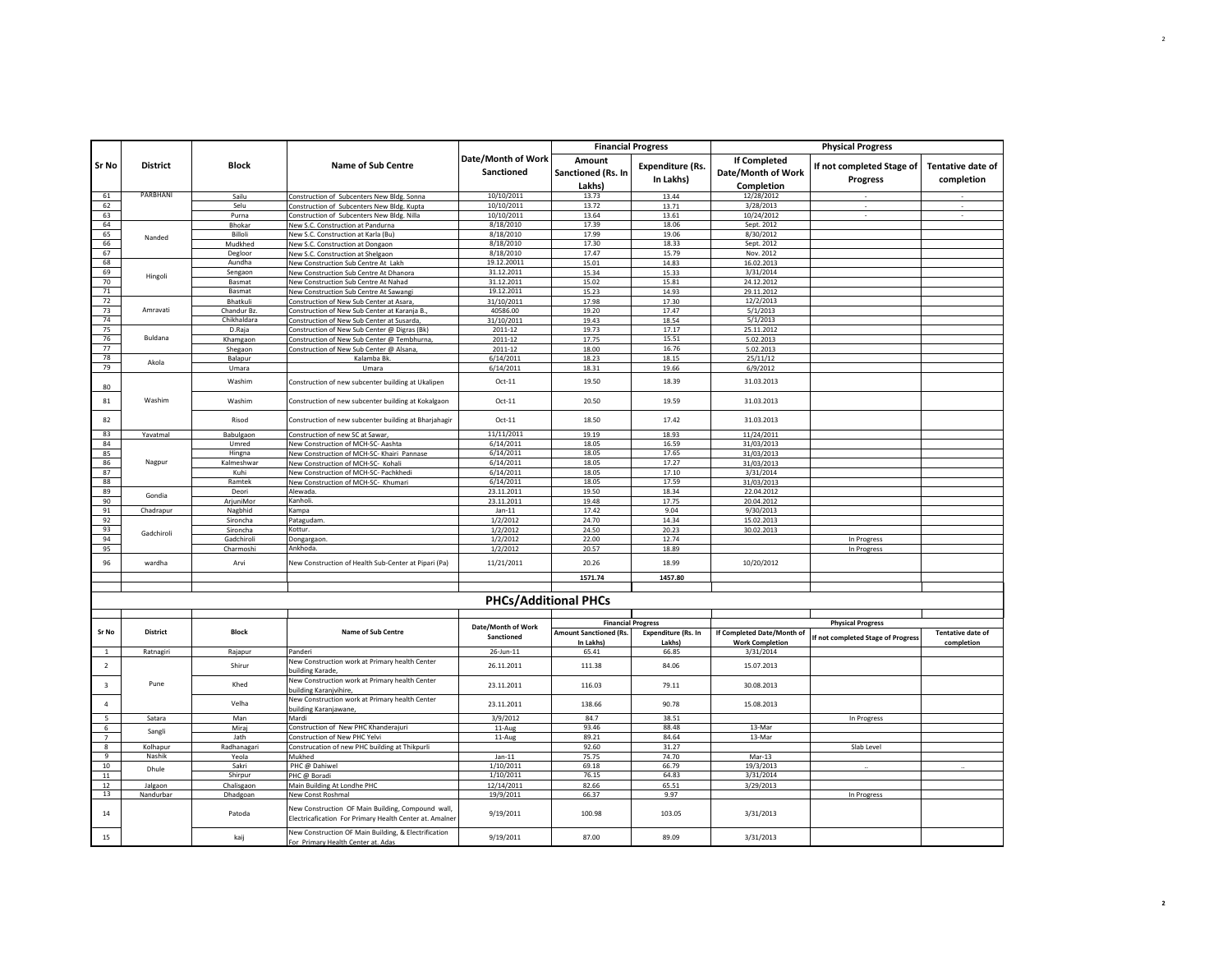|                         |                    |                      |                                                                                                              |                                  | <b>Financial Progress</b>                  |                                      |                                                         | <b>Physical Progress</b>              |                                        |
|-------------------------|--------------------|----------------------|--------------------------------------------------------------------------------------------------------------|----------------------------------|--------------------------------------------|--------------------------------------|---------------------------------------------------------|---------------------------------------|----------------------------------------|
| <b>Sr No</b>            | <b>District</b>    | <b>Block</b>         | <b>Name of Sub Centre</b>                                                                                    | Date/Month of Work<br>Sanctioned | Amount<br>Sanctioned (Rs. In<br>Lakhs)     | <b>Expenditure (Rs.</b><br>In Lakhs) | <b>If Completed</b><br>Date/Month of Work<br>Completion | If not completed Stage of<br>Progress | <b>Tentative date of</b><br>completion |
| 61                      | PARBHANI           | Sailu                | Construction of Subcenters New Bldg. Sonna                                                                   | 10/10/2011                       | 13.73                                      | 13.44                                | 12/28/2012                                              |                                       |                                        |
| 62                      |                    | Selu                 | Construction of Subcenters New Bldg. Kupta                                                                   | 10/10/2011                       | 13.72                                      | 13.71                                | 3/28/2013                                               |                                       |                                        |
| 63                      |                    | Purna                | Construction of Subcenters New Bldg. Nilla                                                                   | 10/10/2011                       | 13.64                                      | 13.61                                | 10/24/2012                                              |                                       |                                        |
| 64                      |                    | Bhokar               | New S.C. Construction at Pandurna                                                                            | 8/18/2010                        | 17.39                                      | 18.06                                | Sept. 2012                                              |                                       |                                        |
| 65<br>66                | Nanded             | Billoli<br>Mudkhed   | New S.C. Construction at Karla (Bu)                                                                          | 8/18/2010<br>8/18/2010           | 17.99<br>17.30                             | 19.06<br>18.33                       | 8/30/2012<br>Sept. 2012                                 |                                       |                                        |
| 67                      |                    | Degloor              | New S.C. Construction at Dongaon<br>New S.C. Construction at Shelgaon                                        | 8/18/2010                        | 17.47                                      | 15.79                                | Nov. 2012                                               |                                       |                                        |
| 68                      |                    | Aundha               | New Construction Sub Centre At Lakh                                                                          | 19.12.20011                      | 15.01                                      | 14.83                                | 16.02.2013                                              |                                       |                                        |
| 69                      |                    | Sengaon              | New Construction Sub Centre At Dhanora                                                                       | 31.12.2011                       | 15.34                                      | 15.33                                | 3/31/2014                                               |                                       |                                        |
| 70                      | Hingoli            | Basmat               | New Construction Sub Centre At Nahad                                                                         | 31.12.2011                       | 15.02                                      | 15.81                                | 24.12.2012                                              |                                       |                                        |
| 71                      |                    | Basmat               | New Construction Sub Centre At Sawangi                                                                       | 19.12.2011                       | 15.23                                      | 14.93                                | 29.11.2012                                              |                                       |                                        |
| 72                      |                    | Bhatkuli             | Construction of New Sub Center at Asara                                                                      | 31/10/2011                       | 17.98                                      | 17.30                                | 12/2/2013                                               |                                       |                                        |
| 73                      | Amravati           | Chandur Bz.          | Construction of New Sub Center at Karanja B.                                                                 | 40586.00                         | 19.20                                      | 17.47                                | 5/1/2013                                                |                                       |                                        |
| 74                      |                    | Chikhaldara          | Construction of New Sub Center at Susarda,                                                                   | 31/10/2011                       | 19.43                                      | 18.54                                | 5/1/2013                                                |                                       |                                        |
| 75                      | <b>Buldana</b>     | D.Raja               | Construction of New Sub Center @ Digras (Bk)                                                                 | 2011-12                          | 19.73                                      | 17.17                                | 25.11.2012                                              |                                       |                                        |
| 76                      |                    | Khamgaon             | Construction of New Sub Center @ Tembhurna,                                                                  | 2011-12                          | 17.75                                      | 15.51                                | 5.02.2013                                               |                                       |                                        |
| 77<br>78                |                    | Shegaon              | Construction of New Sub Center @ Alsana,                                                                     | 2011-12                          | 18.00<br>18.23                             | 16.76<br>18.15                       | 5.02.2013                                               |                                       |                                        |
| 79                      | Akola              | Balapur<br>Umara     | Kalamba Bk<br>Umara                                                                                          | 6/14/2011<br>6/14/2011           | 18.31                                      | 19.66                                | 25/11/12<br>6/9/2012                                    |                                       |                                        |
|                         |                    |                      |                                                                                                              |                                  |                                            |                                      |                                                         |                                       |                                        |
| 80<br>81                | Washim             | Washim<br>Washim     | Construction of new subcenter building at Ukalipen                                                           | $Oct-11$<br>$Oct-11$             | 19.50<br>20.50                             | 18.39<br>19.59                       | 31.03.2013<br>31.03.2013                                |                                       |                                        |
| 82                      |                    | Risod                | Construction of new subcenter building at Kokalgaon                                                          | $Oct-11$                         | 18.50                                      | 17.42                                | 31.03.2013                                              |                                       |                                        |
| 83                      | Yavatmal           | Babulgaon            | Construction of new subcenter building at Bharjahagir<br>Construction of new SC at Sawar,                    | 11/11/2011                       | 19.19                                      | 18.93                                | 11/24/2011                                              |                                       |                                        |
| 84                      |                    | Umred                | New Construction of MCH-SC- Aashta                                                                           | 6/14/2011                        | 18.05                                      | 16.59                                | 31/03/2013                                              |                                       |                                        |
| 85                      |                    | Hingna               | New Construction of MCH-SC- Khairi Pannase                                                                   | 6/14/2011                        | 18.05                                      | 17.65                                | 31/03/2013                                              |                                       |                                        |
| 86                      | Nagpur             | Kalmeshwar           | New Construction of MCH-SC- Kohali                                                                           | 6/14/2011                        | 18.05                                      | 17.27                                | 31/03/2013                                              |                                       |                                        |
| 87                      |                    | Kuhi                 | New Construction of MCH-SC- Pachkhedi                                                                        | 6/14/2011                        | 18.05                                      | 17.10                                | 3/31/2014                                               |                                       |                                        |
| 88                      |                    | Ramtek               | New Construction of MCH-SC- Khumari                                                                          | 6/14/2011                        | 18.05                                      | 17.59                                | 31/03/2013                                              |                                       |                                        |
| 89                      | Gondia             | Deori                | Alewada.<br>Kanholi.                                                                                         | 23.11.2011                       | 19.50                                      | 18.34                                | 22.04.2012                                              |                                       |                                        |
| 90<br>91                | Chadrapur          | ArjuniMor            | Kampa                                                                                                        | 23.11.2011<br>$Jan-11$           | 19.48<br>17.42                             | 17.75<br>9.04                        | 20.04.2012<br>9/30/2013                                 |                                       |                                        |
| 92                      |                    | Nagbhid<br>Sironcha  | Patagudam                                                                                                    | 1/2/2012                         | 24.70                                      | 14.34                                | 15.02.2013                                              |                                       |                                        |
| 93                      |                    | Sironcha             | Kottur.                                                                                                      | 1/2/2012                         | 24.50                                      | 20.23                                | 30.02.2013                                              |                                       |                                        |
| 94                      | Gadchiroli         | Gadchiroli           | Dongargaon.                                                                                                  | 1/2/2012                         | 22.00                                      | 12.74                                |                                                         | In Progress                           |                                        |
| 95                      |                    | Charmoshi            | Ankhoda.                                                                                                     | 1/2/2012                         | 20.57                                      | 18.89                                |                                                         | In Progress                           |                                        |
| 96                      | wardha             | Arvi                 | New Construction of Health Sub-Center at Pipari (Pa)                                                         | 11/21/2011                       | 20.26                                      | 18.99                                | 10/20/2012                                              |                                       |                                        |
|                         |                    |                      |                                                                                                              |                                  | 1571.74                                    | 1457.80                              |                                                         |                                       |                                        |
|                         |                    |                      |                                                                                                              | <b>PHCs/Additional PHCs</b>      |                                            |                                      |                                                         |                                       |                                        |
|                         |                    |                      |                                                                                                              |                                  |                                            |                                      |                                                         |                                       |                                        |
| Sr No                   | <b>District</b>    | <b>Block</b>         | <b>Name of Sub Centre</b>                                                                                    | Date/Month of Work               | <b>Financial Progress</b>                  | Expenditure (Rs. In                  | If Completed Date/Month of                              | <b>Physical Progress</b>              | Tentative date of                      |
|                         |                    |                      |                                                                                                              | Sanctioned                       | <b>Amount Sanctioned (Rs.</b><br>In Lakhs) | Lakhs)                               | <b>Work Completion</b>                                  | If not completed Stage of Progress    | completion                             |
| $\mathbf{1}$            | Ratnagiri          | Rajapur              | Panderi                                                                                                      | 26-Jun-11                        | 65.41                                      | 66.85                                | 3/31/2014                                               |                                       |                                        |
| $\overline{2}$          |                    | Shirur               | New Construction work at Primary health Center<br>building Karade,                                           | 26.11.2011                       | 111.38                                     | 84.06                                | 15.07.2013                                              |                                       |                                        |
| $\overline{\mathbf{3}}$ | Pune               | Khed                 | New Construction work at Primary health Center<br>building Karanjvihire,                                     | 23.11.2011                       | 116.03                                     | 79.11                                | 30.08.2013                                              |                                       |                                        |
| $\overline{4}$          |                    | Velha                | New Construction work at Primary health Center<br>building Karanjawane,                                      | 23.11.2011                       | 138.66                                     | 90.78                                | 15.08.2013                                              |                                       |                                        |
| 5                       | Satara             | Man                  | Mardi                                                                                                        | 3/9/2012                         | 84.7                                       | 38.51                                |                                                         | In Progress                           |                                        |
| 6                       | Sangli             | Miraj                | Construction of New PHC Khanderajuri                                                                         | 11-Aug                           | 93.46                                      | 88.48                                | 13-Mar                                                  |                                       |                                        |
| $\overline{7}$          |                    | Jath                 | Construction of New PHC Yelvi                                                                                | 11-Aug                           | 89.21                                      | 84.64                                | 13-Mar                                                  | Slab Level                            |                                        |
| $\bf8$<br>9             | Kolhapur<br>Nashik | Radhanagari<br>Yeola | Construcation of new PHC building at Thikpurli<br>Mukhed                                                     | $Jan-11$                         | 92.60<br>75.75                             | 31.27<br>74.70                       | Mar-13                                                  |                                       |                                        |
| 10                      |                    | Sakri                | PHC @ Dahiwel                                                                                                | 1/10/2011                        | 69.18                                      | 66.79                                | 19/3/2013                                               |                                       |                                        |
| 11                      | Dhule              | Shirpur              | PHC @ Boradi                                                                                                 | 1/10/2011                        | 76.15                                      | 64.83                                | 3/31/2014                                               |                                       |                                        |
| 12                      | Jalgaon            | Chalisgaon           | Main Building At Londhe PHC                                                                                  | 12/14/2011                       | 82.66                                      | 65.51                                | 3/29/2013                                               |                                       |                                        |
| 13                      | Nandurbar          | Dhadgoan             | New Const Roshmal                                                                                            | 19/9/2011                        | 66.37                                      | 9.97                                 |                                                         | In Progress                           |                                        |
| 14                      |                    | Patoda               | New Construction OF Main Building, Compound wall,<br>Electricafication For Primary Health Center at. Amalner | 9/19/2011                        | 100.98                                     | 103.05                               | 3/31/2013                                               |                                       |                                        |
| 15                      |                    | kaij                 | New Construction OF Main Building, & Electrification<br>For Primary Health Center at. Adas                   | 9/19/2011                        | 87.00                                      | 89.09                                | 3/31/2013                                               |                                       |                                        |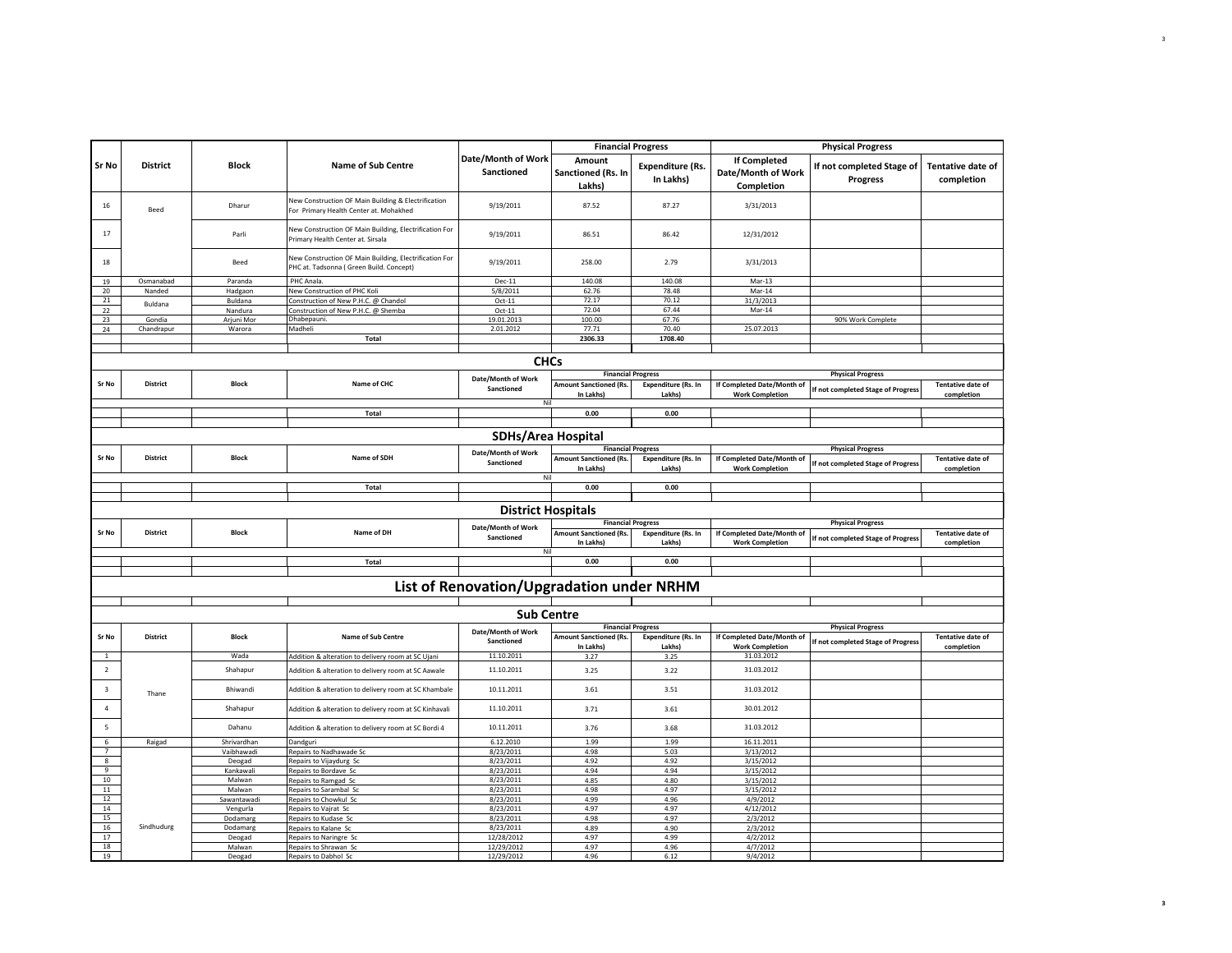|                                           |                 |                     |                                                                                                   |                                           | <b>Financial Progress</b>                  |                                      | <b>Physical Progress</b>                             |                                              |                                        |
|-------------------------------------------|-----------------|---------------------|---------------------------------------------------------------------------------------------------|-------------------------------------------|--------------------------------------------|--------------------------------------|------------------------------------------------------|----------------------------------------------|----------------------------------------|
| Sr No                                     | <b>District</b> | <b>Block</b>        | <b>Name of Sub Centre</b>                                                                         | Date/Month of Work<br>Sanctioned          | Amount<br>Sanctioned (Rs. In<br>Lakhs)     | <b>Expenditure (Rs.</b><br>In Lakhs) | If Completed<br>Date/Month of Work<br>Completion     | If not completed Stage of<br><b>Progress</b> | <b>Tentative date of</b><br>completion |
| 16                                        | Beed            | Dharur              | New Construction OF Main Building & Electrification<br>For Primary Health Center at. Mohakhed     | 9/19/2011                                 | 87.52                                      | 87.27                                | 3/31/2013                                            |                                              |                                        |
| 17                                        |                 | Parli               | New Construction OF Main Building, Electrification For<br>Primary Health Center at. Sirsala       | 9/19/2011                                 | 86.51                                      | 86.42                                | 12/31/2012                                           |                                              |                                        |
| 18                                        |                 | Beed                | New Construction OF Main Building, Electrification For<br>PHC at. Tadsonna (Green Build. Concept) | 9/19/2011                                 | 258.00                                     | 2.79                                 | 3/31/2013                                            |                                              |                                        |
| 19                                        | Osmanabad       | Paranda             | PHC Anala.                                                                                        | $Dec-11$                                  | 140.08                                     | 140.08                               | Mar-13                                               |                                              |                                        |
| 20                                        | Nanded          | Hadgaon             | New Construction of PHC Koli                                                                      | 5/8/2011                                  | 62.76                                      | 78.48                                | Mar-14                                               |                                              |                                        |
| 21                                        | Buldana         | Buldana             | Construction of New P.H.C. @ Chandol                                                              | $Oct-11$                                  | 72.17                                      | 70.12                                | 31/3/2013                                            |                                              |                                        |
| 22                                        |                 | Nandura             | Construction of New P.H.C. @ Shemba                                                               | $Oct-11$                                  | 72.04                                      | 67.44                                | Mar-14                                               |                                              |                                        |
| 23                                        | Gondia          | Arjuni Mor          | Dhabepauni                                                                                        | 19.01.2013<br>2.01.2012                   | 100.00                                     | 67.76                                | 25.07.2013                                           | 90% Work Complete                            |                                        |
| 24                                        | Chandrapur      | Warora              | Madheli<br><b>Total</b>                                                                           |                                           | 77.71<br>2306.33                           | 70.40<br>1708.40                     |                                                      |                                              |                                        |
|                                           |                 |                     |                                                                                                   |                                           |                                            |                                      |                                                      |                                              |                                        |
|                                           |                 |                     |                                                                                                   | <b>CHCs</b>                               |                                            |                                      |                                                      |                                              |                                        |
|                                           |                 |                     |                                                                                                   | Date/Month of Work                        |                                            | <b>Financial Progress</b>            |                                                      | <b>Physical Progress</b>                     |                                        |
| Sr No                                     | District        | Block               | Name of CHC                                                                                       | Sanctioned                                | <b>Amount Sanctioned (Rs.</b><br>In Lakhs) | <b>Expenditure (Rs. In</b><br>Lakhs) | If Completed Date/Month of<br><b>Work Completion</b> | If not completed Stage of Progress           | <b>Tentative date of</b><br>completion |
|                                           |                 |                     |                                                                                                   | Nil                                       | 0.00                                       | 0.00                                 |                                                      |                                              |                                        |
|                                           |                 |                     | Total                                                                                             |                                           |                                            |                                      |                                                      |                                              |                                        |
|                                           |                 |                     |                                                                                                   |                                           |                                            |                                      |                                                      |                                              |                                        |
|                                           |                 |                     |                                                                                                   | <b>SDHs/Area Hospital</b>                 |                                            |                                      |                                                      |                                              |                                        |
|                                           |                 |                     |                                                                                                   | Date/Month of Work                        |                                            | <b>Financial Progress</b>            |                                                      | <b>Physical Progress</b>                     |                                        |
| Sr No                                     | <b>District</b> | <b>Block</b>        | Name of SDH                                                                                       | Sanctioned<br>Nil                         | <b>Amount Sanctioned (Rs.</b><br>In Lakhs) | Expenditure (Rs. In<br>Lakhs)        | If Completed Date/Month of<br><b>Work Completion</b> | If not completed Stage of Progress           | <b>Tentative date of</b><br>completion |
|                                           |                 |                     | Total                                                                                             |                                           | 0.00                                       | 0.00                                 |                                                      |                                              |                                        |
|                                           |                 |                     |                                                                                                   |                                           |                                            |                                      |                                                      |                                              |                                        |
|                                           |                 |                     |                                                                                                   | <b>District Hospitals</b>                 |                                            |                                      |                                                      |                                              |                                        |
|                                           |                 |                     |                                                                                                   | Date/Month of Work                        |                                            | <b>Financial Progress</b>            |                                                      | <b>Physical Progress</b>                     |                                        |
| Sr No                                     | <b>District</b> | <b>Block</b>        | Name of DH                                                                                        | Sanctioned                                | <b>Amount Sanctioned (Rs.</b><br>In Lakhs) | Expenditure (Rs. In<br>Lakhs)        | If Completed Date/Month of<br><b>Work Completion</b> | If not completed Stage of Progress           | Tentative date of<br>completion        |
|                                           |                 |                     |                                                                                                   | Nil                                       |                                            |                                      |                                                      |                                              |                                        |
|                                           |                 |                     | Total                                                                                             |                                           | 0.00                                       | 0.00                                 |                                                      |                                              |                                        |
|                                           |                 |                     |                                                                                                   |                                           |                                            |                                      |                                                      |                                              |                                        |
|                                           |                 |                     |                                                                                                   | List of Renovation/Upgradation under NRHM |                                            |                                      |                                                      |                                              |                                        |
|                                           |                 |                     |                                                                                                   | <b>Sub Centre</b>                         |                                            |                                      |                                                      |                                              |                                        |
|                                           |                 |                     |                                                                                                   |                                           |                                            | <b>Financial Progress</b>            |                                                      | <b>Physical Progress</b>                     |                                        |
| Sr No                                     | <b>District</b> | <b>Block</b>        | <b>Name of Sub Centre</b>                                                                         | Date/Month of Work<br>Sanctioned          | <b>Amount Sanctioned (Rs.</b><br>In Lakhs) | <b>Expenditure (Rs. In</b><br>Lakhs) | If Completed Date/Month of<br><b>Work Completion</b> | If not completed Stage of Progress           | Tentative date of<br>completion        |
| $\mathbf{1}$                              |                 | Wada                | Addition & alteration to delivery room at SC Ujani                                                | 11.10.2011                                | 3.27                                       | 3.25                                 | 31.03.2012                                           |                                              |                                        |
| $\overline{2}$                            |                 | Shahapur            | Addition & alteration to delivery room at SC Aawale                                               | 11.10.2011                                | 3.25                                       | 3.22                                 | 31.03.2012                                           |                                              |                                        |
| $\overline{\mathbf{3}}$                   | Thane           | Bhiwandi            | Addition & alteration to delivery room at SC Khambale                                             | 10.11.2011                                | 3.61                                       | 3.51                                 | 31.03.2012                                           |                                              |                                        |
| $\overline{4}$                            |                 | Shahapur            | Addition & alteration to delivery room at SC Kinhavali                                            | 11.10.2011                                | 3.71                                       | 3.61                                 | 30.01.2012                                           |                                              |                                        |
| $\overline{\phantom{a}}$                  |                 | Dahanu              | Addition & alteration to delivery room at SC Bordi 4                                              | 10.11.2011                                | 3.76                                       | 3.68                                 | 31.03.2012                                           |                                              |                                        |
| 6                                         | Raigad          | Shrivardhan         | Dandguri                                                                                          | 6.12.2010                                 | 1.99                                       | 1.99                                 | 16.11.2011                                           |                                              |                                        |
| $\overline{7}$<br>$\overline{\mathbf{8}}$ |                 | Vaibhawadi          | Repairs to Nadhawade Sc                                                                           | 8/23/2011<br>8/23/2011                    | 4.98<br>4.92                               | 5.03<br>4.92                         | 3/13/2012<br>3/15/2012                               |                                              |                                        |
| 9                                         |                 | Deogad<br>Kankawali | Repairs to Vijaydurg Sc<br>Repairs to Bordave Sc                                                  | 8/23/2011                                 | 4.94                                       | 4.94                                 | 3/15/2012                                            |                                              |                                        |
| 10                                        |                 | Malwan              | Repairs to Ramgad Sc                                                                              | 8/23/2011                                 | 4.85                                       | 4.80                                 | 3/15/2012                                            |                                              |                                        |
| 11                                        |                 | Malwan              | Repairs to Sarambal Sc                                                                            | 8/23/2011                                 | 4.98                                       | 4.97                                 | 3/15/2012                                            |                                              |                                        |
| 12                                        |                 | Sawantawadi         | Repairs to Chowkul Sc                                                                             | 8/23/2011                                 | 4.99                                       | 4.96                                 | 4/9/2012                                             |                                              |                                        |
| 14                                        |                 | Vengurla            | Repairs to Vajrat Sc                                                                              | 8/23/2011                                 | 4.97                                       | 4.97                                 | 4/12/2012                                            |                                              |                                        |
| 15                                        |                 | Dodamarg            | Repairs to Kudase Sc                                                                              | 8/23/2011                                 | 4.98                                       | 4.97                                 | 2/3/2012                                             |                                              |                                        |
| 16                                        | Sindhudurg      | Dodamarg            | Repairs to Kalane Sc                                                                              | 8/23/2011                                 | 4.89                                       | 4.90                                 | 2/3/2012                                             |                                              |                                        |
| 17<br>18                                  |                 | Deogad<br>Malwan    | Repairs to Naringre Sc<br>Repairs to Shrawan Sc                                                   | 12/28/2012<br>12/29/2012                  | 4.97<br>4.97                               | 4.99<br>4.96                         | 4/2/2012                                             |                                              |                                        |
| 19                                        |                 | Deogad              | Repairs to Dabhol Sc                                                                              | 12/29/2012                                | 4.96                                       | 6.12                                 | 4/7/2012<br>9/4/2012                                 |                                              |                                        |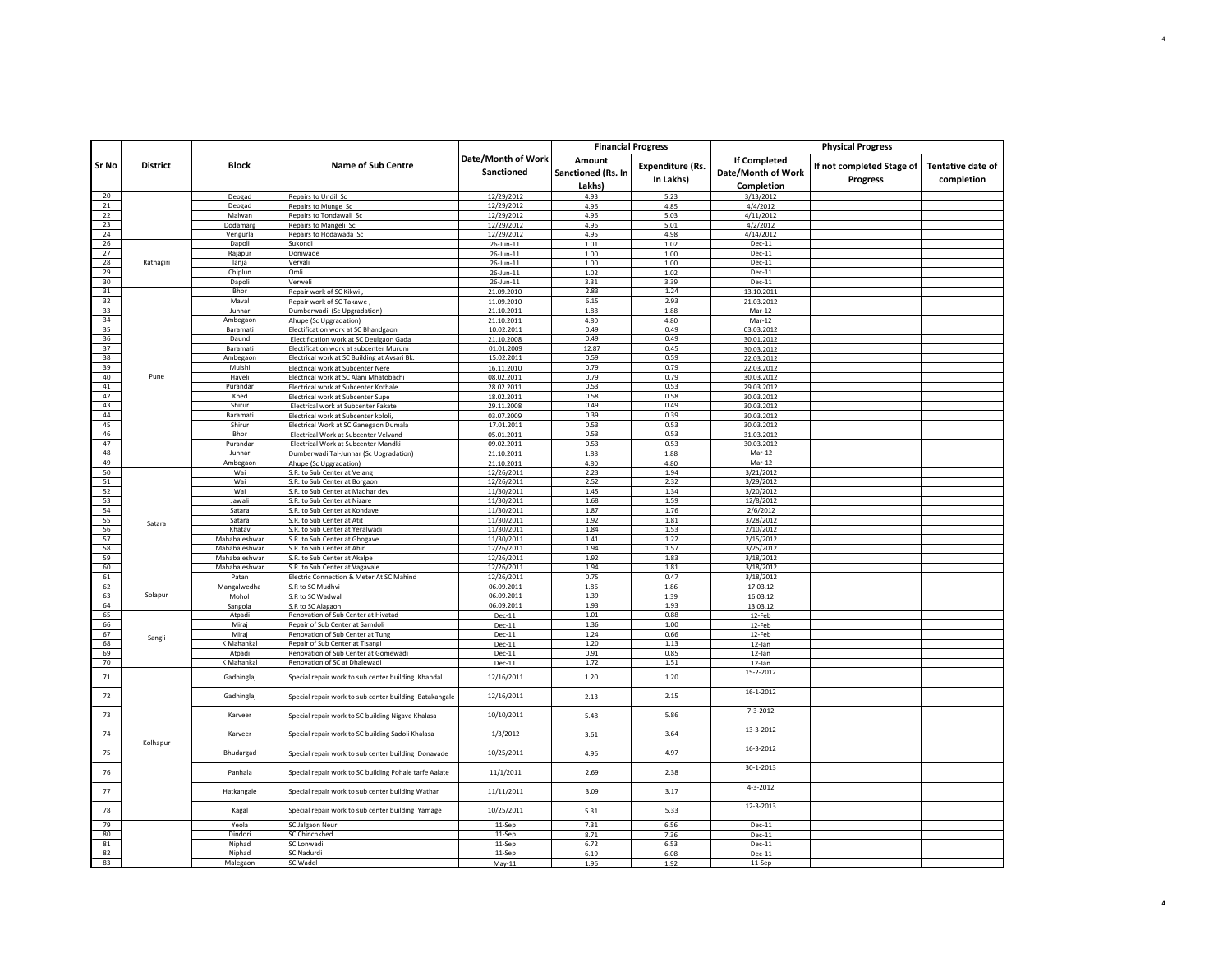|                 |                 |                                |                                                                                |                          | <b>Financial Progress</b> |                         |                                | <b>Physical Progress</b>  |                          |
|-----------------|-----------------|--------------------------------|--------------------------------------------------------------------------------|--------------------------|---------------------------|-------------------------|--------------------------------|---------------------------|--------------------------|
|                 |                 |                                |                                                                                | Date/Month of Work       | Amount                    |                         | <b>If Completed</b>            |                           |                          |
| Sr No           | <b>District</b> | <b>Block</b>                   | <b>Name of Sub Centre</b>                                                      | Sanctioned               | Sanctioned (Rs. In        | <b>Expenditure (Rs.</b> | Date/Month of Work             | If not completed Stage of | <b>Tentative date of</b> |
|                 |                 |                                |                                                                                |                          |                           | In Lakhs)               |                                | <b>Progress</b>           | completion               |
| 20              |                 |                                | Repairs to Undil Sc                                                            | 12/29/2012               | Lakhs)<br>4.93            | 5.23                    | <b>Completion</b><br>3/13/2012 |                           |                          |
| 21              |                 | Deogad<br>Deogad               | Repairs to Munge Sc                                                            | 12/29/2012               | 4.96                      | 4.85                    | 4/4/2012                       |                           |                          |
| 22              |                 | Malwan                         | Repairs to Tondawali Sc                                                        | 12/29/2012               | 4.96                      | 5.03                    | 4/11/2012                      |                           |                          |
| 23              |                 | Dodamarg                       | Repairs to Mangeli Sc                                                          | 12/29/2012               | 4.96                      | 5.01                    | 4/2/2012                       |                           |                          |
| 24              |                 | Vengurla                       | Repairs to Hodawada Sc                                                         | 12/29/2012               | 4.95                      | 4.98                    | 4/14/2012                      |                           |                          |
| 26              |                 | Dapoli                         | Sukondi                                                                        | 26-Jun-11                | 1.01                      | 1.02                    | Dec-11                         |                           |                          |
| 27<br>28        | Ratnagiri       | Rajapur                        | Doniwade                                                                       | 26-Jun-11                | 1.00                      | 1.00                    | Dec-11                         |                           |                          |
| 29              |                 | lanja<br>Chiplun               | Vervali<br>Omli                                                                | 26-Jun-11<br>26-Jun-11   | 1.00<br>1.02              | 1.00<br>1.02            | Dec-11<br>Dec-11               |                           |                          |
| 30              |                 | Dapoli                         | Verweli                                                                        | 26-Jun-11                | 3.31                      | 3.39                    | Dec-11                         |                           |                          |
| $31\,$          |                 | Bhor                           | Repair work of SC Kikwi                                                        | 21.09.2010               | 2.83                      | 1.24                    | 13.10.2011                     |                           |                          |
| 32              |                 | Maval                          | Repair work of SC Takawe                                                       | 11.09.2010               | 6.15                      | 2.93                    | 21.03.2012                     |                           |                          |
| 33              |                 | Junnar                         | Dumberwadi (Sc Upgradation)                                                    | 21.10.2011               | 1.88                      | 1.88                    | Mar-12                         |                           |                          |
| 34              |                 | Ambegaon                       | Ahupe (Sc Upgradation)                                                         | 21.10.2011               | 4.80                      | 4.80                    | Mar-12                         |                           |                          |
| 35<br>36        |                 | Baramati<br>Daund              | Electification work at SC Bhandgaon<br>Electification work at SC Deulgaon Gada | 10.02.2011<br>21.10.2008 | 0.49<br>0.49              | 0.49<br>0.49            | 03.03.2012<br>30.01.2012       |                           |                          |
| 37              |                 | Baramati                       | Electification work at subcenter Murum                                         | 01.01.2009               | 12.87                     | 0.45                    | 30.03.2012                     |                           |                          |
| 38              |                 | Ambegaon                       | Electrical work at SC Building at Avsari Bk.                                   | 15.02.2011               | 0.59                      | 0.59                    | 22.03.2012                     |                           |                          |
| $\overline{39}$ |                 | Mulshi                         | Electrical work at Subcenter Nere                                              | 16.11.2010               | 0.79                      | 0.79                    | 22.03.2012                     |                           |                          |
| 40              | Pune            | Haveli                         | Electrical work at SC Alani Mhatobachi                                         | 08.02.2011               | 0.79                      | 0.79                    | 30.03.2012                     |                           |                          |
| 41              |                 | Purandar                       | Electrical work at Subcenter Kothale                                           | 28.02.2011               | 0.53                      | 0.53                    | 29.03.2012                     |                           |                          |
| 42              |                 | Khed                           | Electrical work at Subcenter Supe                                              | 18.02.2011               | 0.58                      | 0.58                    | 30.03.2012                     |                           |                          |
| 43<br>44        |                 | Shirur<br><b>Baramati</b>      | Electrical work at Subcenter Fakate                                            | 29.11.2008               | 0.49<br>0.39              | 0.49<br>0.39            | 30.03.2012                     |                           |                          |
| 45              |                 | Shirur                         | Electrical work at Subcenter kololi<br>Electrical Work at SC Ganegaon Dumala   | 03.07.2009<br>17.01.2011 | 0.53                      | 0.53                    | 30.03.2012<br>30.03.2012       |                           |                          |
| 46              |                 | Bhor                           | Electrical Work at Subcenter Velvand                                           | 05.01.2011               | 0.53                      | 0.53                    | 31.03.2012                     |                           |                          |
| 47              |                 | Purandar                       | Electrical Work at Subcenter Mandki                                            | 09.02.2011               | 0.53                      | 0.53                    | 30.03.2012                     |                           |                          |
| 48              |                 | Junnar                         | Dumberwadi Tal-Junnar (Sc Upgradation)                                         | 21.10.2011               | 1.88                      | 1.88                    | Mar-12                         |                           |                          |
| 49              |                 | Ambegaon                       | Ahupe (Sc Upgradation)                                                         | 21.10.2011               | 4.80                      | 4.80                    | Mar-12                         |                           |                          |
| 50              |                 | Wai                            | S.R. to Sub Center at Velang                                                   | 12/26/2011               | 2.23                      | 1.94                    | 3/21/2012                      |                           |                          |
| 51              |                 | Wai                            | S.R. to Sub Center at Borgaon                                                  | 12/26/2011               | 2.52                      | 2.32                    | 3/29/2012                      |                           |                          |
| 52<br>53        |                 | Wai<br>Jawal                   | S.R. to Sub Center at Madhar dev<br>S.R. to Sub Center at Nizare               | 11/30/2011<br>11/30/2011 | 1.45<br>1.68              | 1.34<br>1.59            | 3/20/2012<br>12/8/2012         |                           |                          |
| 54              |                 | Satara                         | S.R. to Sub Center at Kondave                                                  | 11/30/2011               | 1.87                      | 1.76                    | 2/6/2012                       |                           |                          |
| 55              | Satara          | Satara                         | S.R. to Sub Center at Atit                                                     | 11/30/2011               | 1.92                      | 1.81                    | 3/28/2012                      |                           |                          |
| 56              |                 | Khatav                         | S.R. to Sub Center at Yeralwadi                                                | 11/30/2011               | 1.84                      | 1.53                    | 2/10/2012                      |                           |                          |
| 57              |                 | Mahabaleshwar                  | S.R. to Sub Center at Ghogave                                                  | 11/30/2011               | 1.41                      | 1.22                    | 2/15/2012                      |                           |                          |
| 58              |                 | Mahabaleshwar                  | S.R. to Sub Center at Ahir                                                     | 12/26/2011               | 1.94                      | 1.57                    | 3/25/2012                      |                           |                          |
| 59<br>60        |                 | Mahabaleshwar<br>Mahabaleshwar | S.R. to Sub Center at Akalpe<br>S.R. to Sub Center at Vagavale                 | 12/26/2011<br>12/26/2011 | 1.92<br>1.94              | 1.83<br>1.81            | 3/18/2012<br>3/18/2012         |                           |                          |
| 61              |                 | Patan                          | Electric Connection & Meter At SC Mahind                                       | 12/26/2011               | 0.75                      | 0.47                    | 3/18/2012                      |                           |                          |
| 62              |                 | Mangalwedha                    | S.R to SC Mudhvi                                                               | 06.09.2011               | 1.86                      | 1.86                    | 17.03.12                       |                           |                          |
| 63              | Solapur         | Mohol                          | S.R to SC Wadwal                                                               | 06.09.2011               | 1.39                      | 1.39                    | 16.03.12                       |                           |                          |
| 64              |                 | Sangola                        | S.R to SC Alagaon                                                              | 06.09.2011               | 1.93                      | 1.93                    | 13.03.12                       |                           |                          |
| 65              |                 | Atpadi                         | Renovation of Sub Center at Hivatad                                            | $Dec-11$                 | 1.01                      | 0.88                    | 12-Feb                         |                           |                          |
| 66              |                 | Mirai                          | Repair of Sub Center at Samdoli                                                | Dec-11                   | 1.36                      | 1.00                    | 12-Feb                         |                           |                          |
| 67<br>68        | Sangli          | Miraj<br>K Mahankal            | Renovation of Sub Center at Tung<br>Repair of Sub Center at Tisangi            | Dec-11                   | 1.24<br>1.20              | 0.66<br>1.13            | 12-Feb                         |                           |                          |
| 69              |                 | Atpadi                         | Renovation of Sub Center at Gomewadi                                           | $Dec-11$<br>$Dec-11$     | 0.91                      | 0.85                    | 12-Jan<br>12-Jan               |                           |                          |
| 70              |                 | K Mahankal                     | Renovation of SC at Dhalewadi                                                  | Dec-11                   | 1.72                      | 1.51                    | 12-Jan                         |                           |                          |
| 71              |                 | Gadhinglaj                     | Special repair work to sub center building Khandal                             | 12/16/2011               | 1.20                      | 1.20                    | 15-2-2012                      |                           |                          |
| $72\,$          |                 | Gadhinglaj                     | Special repair work to sub center building Batakangale                         | 12/16/2011               | 2.13                      | 2.15                    | 16-1-2012                      |                           |                          |
| 73              |                 | Karveer                        | Special repair work to SC building Nigave Khalasa                              | 10/10/2011               | 5.48                      | 5.86                    | $7 - 3 - 2012$                 |                           |                          |
| 74              |                 | Karveer                        | Special repair work to SC building Sadoli Khalasa                              | 1/3/2012                 | 3.61                      | 3.64                    | 13-3-2012                      |                           |                          |
| 75              | Kolhapur        | Bhudargad                      | Special repair work to sub center building Donavade                            | 10/25/2011               | 4.96                      | 4.97                    | 16-3-2012                      |                           |                          |
| 76              |                 | Panhala                        | Special repair work to SC building Pohale tarfe Aalate                         | 11/1/2011                | 2.69                      | 2.38                    | 30-1-2013                      |                           |                          |
| 77              |                 | Hatkangale                     | Special repair work to sub center building Wathar                              | 11/11/2011               | 3.09                      | 3.17                    | 4-3-2012                       |                           |                          |
| 78              |                 | Kagal                          | Special repair work to sub center building Yamage                              | 10/25/2011               | 5.31                      | 5.33                    | 12-3-2013                      |                           |                          |
| 79              |                 | Yeola                          | SC Jalgaon Neur                                                                | 11-Sep                   | 7.31                      | 6.56                    | $Dec-11$                       |                           |                          |
| 80              |                 | Dindori                        | <b>SC Chinchkhed</b>                                                           | 11-Sep                   | 8.71                      | 7.36                    | Dec-11                         |                           |                          |
| 81              |                 | Niphad                         | SC Lonwadi                                                                     | 11-Sep                   | 6.72                      | 6.53                    | Dec-11                         |                           |                          |
| 82<br>83        |                 | Niphad<br>Malegaon             | <b>SC Nadurdi</b><br>SC Wadel                                                  | 11-Sep                   | 6.19<br>1.96              | 6.08<br>1.92            | Dec-11<br>11-Sep               |                           |                          |
|                 |                 |                                |                                                                                | $May-11$                 |                           |                         |                                |                           |                          |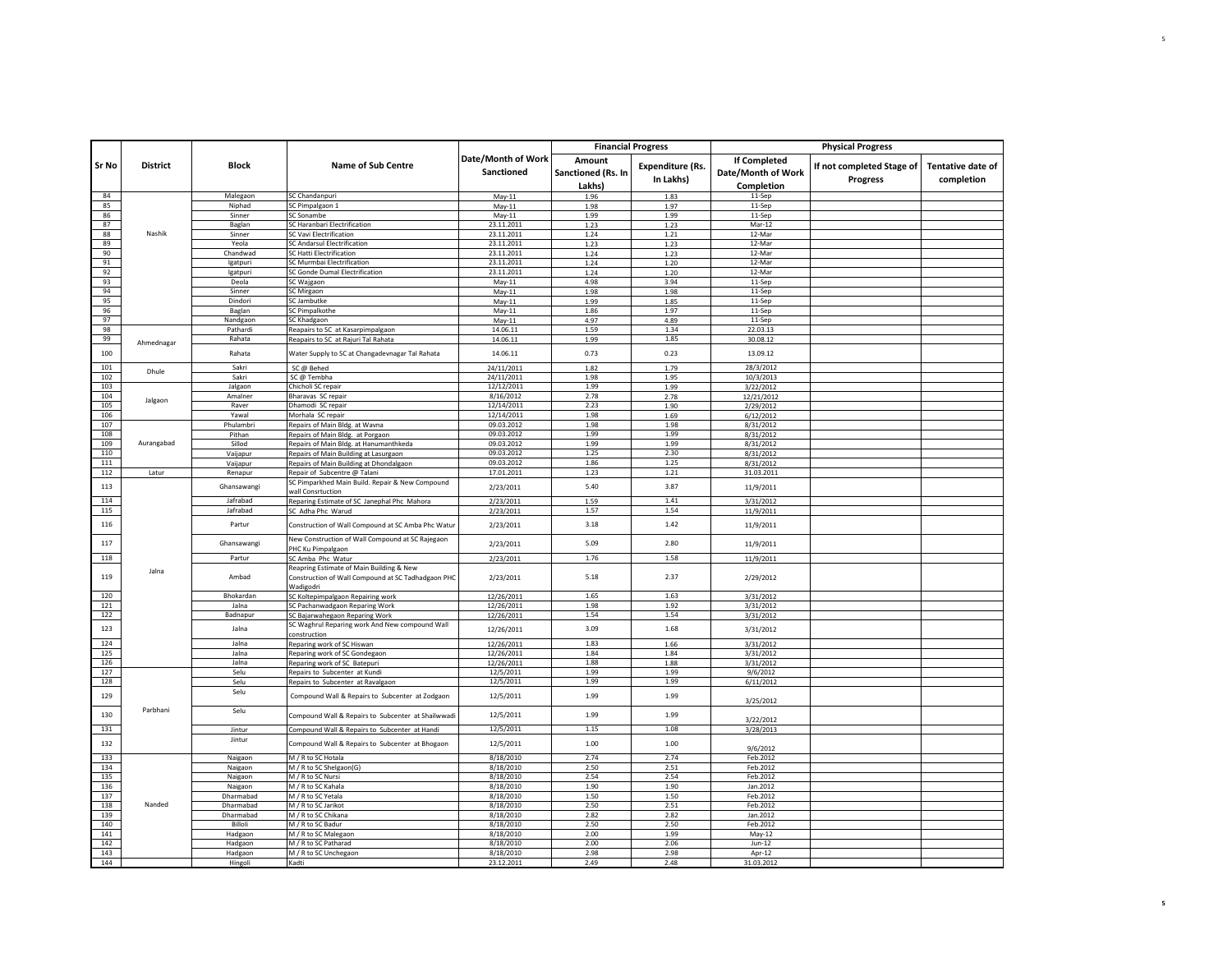|            |                 |                   |                                                                                                |                                  | <b>Financial Progress</b>              |                                      | <b>Physical Progress</b>                                |                                              |                                        |  |
|------------|-----------------|-------------------|------------------------------------------------------------------------------------------------|----------------------------------|----------------------------------------|--------------------------------------|---------------------------------------------------------|----------------------------------------------|----------------------------------------|--|
| Sr No      | <b>District</b> | <b>Block</b>      | <b>Name of Sub Centre</b>                                                                      | Date/Month of Work<br>Sanctioned | Amount<br>Sanctioned (Rs. In<br>Lakhs) | <b>Expenditure (Rs.</b><br>In Lakhs) | <b>If Completed</b><br>Date/Month of Work<br>Completion | If not completed Stage of<br><b>Progress</b> | <b>Tentative date of</b><br>completion |  |
| 84         |                 | Malegaon          | SC Chandanpuri                                                                                 | $May-11$                         | 1.96                                   | 1.83                                 | 11-Sep                                                  |                                              |                                        |  |
| 85         |                 | Niphad            | SC Pimpalgaon 1                                                                                | $May-11$                         | 1.98                                   | 1.97                                 | 11-Sep                                                  |                                              |                                        |  |
| 86         |                 | Sinner            | SC Sonambe                                                                                     | $May-11$                         | 1.99                                   | 1.99                                 | 11-Sep                                                  |                                              |                                        |  |
| 87         |                 | Baglan            | SC Haranbari Electrification                                                                   | 23.11.2011                       | 1.23                                   | 1.23                                 | $Mar-12$                                                |                                              |                                        |  |
| 88         | Nashik          | Sinner            | <b>C Vavi Electrification</b>                                                                  | 23.11.2011                       | 1.24                                   | 1.21                                 | 12-Mar                                                  |                                              |                                        |  |
| 89         |                 | Yeola             | <b>SC Andarsul Electrification</b>                                                             | 23.11.2011                       | 1.23                                   | 1.23                                 | 12-Mar                                                  |                                              |                                        |  |
| 90         |                 | Chandwad          | <b>SC Hatti Electrification</b>                                                                | 23.11.2011                       | 1.24                                   | 1.23                                 | 12-Mar                                                  |                                              |                                        |  |
| 91<br>92   |                 | Igatpuri          | SC Murmbai Electrification                                                                     | 23.11.2011                       | 1.24                                   | 1.20                                 | 12-Mar<br>12-Mar                                        |                                              |                                        |  |
| 93         |                 | Igatpuri<br>Deola | SC Gonde Dumal Electrification<br>SC Wajgaon                                                   | 23.11.2011                       | 1.24<br>4.98                           | 1.20<br>3.94                         | 11-Sep                                                  |                                              |                                        |  |
| 94         |                 | Sinner            | SC Mirgaon                                                                                     | May-11<br>May-11                 | 1.98                                   | 1.98                                 | 11-Sep                                                  |                                              |                                        |  |
| 95         |                 | Dindori           | SC Jambutke                                                                                    | May-11                           | 1.99                                   | 1.85                                 | 11-Sep                                                  |                                              |                                        |  |
| 96         |                 | Baglan            | <b>SC Pimpalkothe</b>                                                                          | May-11                           | 1.86                                   | 1.97                                 | 11-Sep                                                  |                                              |                                        |  |
| 97         |                 | Nandgaon          | SC Khadgaon                                                                                    | $May-11$                         | 4.97                                   | 4.89                                 | 11-Sep                                                  |                                              |                                        |  |
| 98         |                 | Pathardi          | Reapairs to SC at Kasarpimpalgaon                                                              | 14.06.11                         | 1.59                                   | 1.34                                 | 22.03.13                                                |                                              |                                        |  |
| 99         |                 | Rahata            | Reapairs to SC at Rajuri Tal Rahata                                                            | 14.06.11                         | 1.99                                   | 1.85                                 | 30.08.12                                                |                                              |                                        |  |
| 100        | Ahmednagar      | Rahata            | Water Supply to SC at Changadevnagar Tal Rahata                                                | 14.06.11                         | 0.73                                   | 0.23                                 | 13.09.12                                                |                                              |                                        |  |
| 101        |                 | Sakri             | SC @ Behed                                                                                     | 24/11/2011                       | 1.82                                   | 1.79                                 | 28/3/2012                                               |                                              |                                        |  |
| 102        | Dhule           | Sakri             | SC@Tembha                                                                                      | 24/11/2011                       | 1.98                                   | 1.95                                 | 10/3/2013                                               |                                              |                                        |  |
| 103        |                 | Jalgaon           | Chicholi SC repair                                                                             | 12/12/2011                       | 1.99                                   | 1.99                                 | 3/22/2012                                               |                                              |                                        |  |
| 104        |                 | Amalner           | Bharavas SC repair                                                                             | 8/16/2012                        | 2.78                                   | 2.78                                 | 12/21/2012                                              |                                              |                                        |  |
| 105        | Jalgaon         | Raver             | Dhamodi SC repair                                                                              | 12/14/2011                       | 2.23                                   | 1.90                                 | 2/29/2012                                               |                                              |                                        |  |
| 106        |                 | Yawal             | Morhala SC repair                                                                              | 12/14/2011                       | 1.98                                   | 1.69                                 | 6/12/2012                                               |                                              |                                        |  |
| 107        |                 | Phulambri         | Repairs of Main Bldg. at Wavna                                                                 | 09.03.2012                       | 1.98                                   | 1.98                                 | 8/31/2012                                               |                                              |                                        |  |
| 108        |                 | Pithan            | Repairs of Main Bldg. at Porgaon                                                               | 09.03.2012                       | 1.99                                   | 1.99                                 | 8/31/2012                                               |                                              |                                        |  |
| 109        | Aurangabad      | Sillod            | Repairs of Main Bldg. at Hanumanthkeda                                                         | 09.03.2012                       | 1.99                                   | 1.99                                 | 8/31/2012                                               |                                              |                                        |  |
| 110        |                 | Vaijapur          | Repairs of Main Building at Lasurgaon                                                          | 09.03.2012                       | 1.25                                   | 2.30                                 | 8/31/2012                                               |                                              |                                        |  |
| 111        |                 | Vaijapur          | Repairs of Main Building at Dhondalgaon                                                        | 09.03.2012                       | 1.86                                   | 1.25                                 | 8/31/2012                                               |                                              |                                        |  |
| 112        | Latur           | Renapur           | Repair of Subcentre @ Talani                                                                   | 17.01.2011                       | 1.23                                   | 1.21                                 | 31.03.2011                                              |                                              |                                        |  |
| 113        |                 | Ghansawangi       | SC Pimparkhed Main Build. Repair & New Compound<br>wall Consrtuction                           | 2/23/2011                        | 5.40                                   | 3.87                                 | 11/9/2011                                               |                                              |                                        |  |
| 114        |                 | Jafrabad          | Reparing Estimate of SC Janephal Phc Mahora                                                    | 2/23/2011                        | 1.59                                   | 1.41                                 | 3/31/2012                                               |                                              |                                        |  |
| 115        |                 | Jafrabad          | SC Adha Phc Warud                                                                              | 2/23/2011                        | 1.57                                   | 1.54                                 | 11/9/2011                                               |                                              |                                        |  |
| 116        |                 | Partur            | Construction of Wall Compound at SC Amba Phc Watur                                             | 2/23/2011                        | 3.18                                   | 1.42                                 | 11/9/2011                                               |                                              |                                        |  |
| 117        |                 | Ghansawangi       | New Construction of Wall Compound at SC Rajegaon<br>PHC Ku Pimpalgaon                          | 2/23/2011                        | 5.09                                   | 2.80                                 | 11/9/2011                                               |                                              |                                        |  |
| 118        |                 | Partur            | SC Amba Phc Watur                                                                              | 2/23/2011                        | 1.76                                   | 1.58                                 | 11/9/2011                                               |                                              |                                        |  |
| 119        | Jalna           | Ambad             | Reapring Estimate of Main Building & New<br>Construction of Wall Compound at SC Tadhadgaon PHC | 2/23/2011                        | 5.18                                   | 2.37                                 | 2/29/2012                                               |                                              |                                        |  |
| 120        |                 | Bhokardan         | Wadigodri                                                                                      |                                  | 1.65                                   | 1.63                                 |                                                         |                                              |                                        |  |
| 121        |                 | Jalna             | SC Koltepimpalgaon Repairing work                                                              | 12/26/2011                       | 1.98                                   | 1.92                                 | 3/31/2012                                               |                                              |                                        |  |
| 122        |                 | Badnapur          | SC Pachanwadgaon Reparing Work<br>SC Bajarwahegaon Reparing Work                               | 12/26/2011<br>12/26/2011         | 1.54                                   | 1.54                                 | 3/31/2012<br>3/31/2012                                  |                                              |                                        |  |
|            |                 |                   | SC Waghrul Reparing work And New compound Wall                                                 |                                  |                                        |                                      |                                                         |                                              |                                        |  |
| 123<br>124 |                 | Jalna<br>Jalna    | construction                                                                                   | 12/26/2011<br>12/26/2011         | 3.09<br>1.83                           | 1.68<br>1.66                         | 3/31/2012<br>3/31/2012                                  |                                              |                                        |  |
| 125        |                 | Jalna             | Reparing work of SC Hiswan<br>Reparing work of SC Gondegaon                                    |                                  | 1.84                                   | 1.84                                 |                                                         |                                              |                                        |  |
| 126        |                 | Jalna             | Reparing work of SC Batepuri                                                                   | 12/26/2011<br>12/26/2011         | 1.88                                   | 1.88                                 | 3/31/2012<br>3/31/2012                                  |                                              |                                        |  |
| 127        |                 | Selu              | Repairs to Subcenter at Kundi                                                                  | 12/5/2011                        | 1.99                                   | 1.99                                 | 9/6/2012                                                |                                              |                                        |  |
| 128        |                 | Selu              | Repairs to Subcenter at Ravalgaon                                                              | 12/5/2011                        | 1.99                                   | 1.99                                 | 6/11/2012                                               |                                              |                                        |  |
| 129        |                 | Selu              | Compound Wall & Repairs to Subcenter at Zodgaon                                                | 12/5/2011                        | 1.99                                   | 1.99                                 | 3/25/2012                                               |                                              |                                        |  |
| 130        | Parbhani        | Selu              | Compound Wall & Repairs to Subcenter at Shailwwadi                                             | 12/5/2011                        | 1.99                                   | 1.99                                 | 3/22/2012                                               |                                              |                                        |  |
| 131        |                 | Jintur            | Compound Wall & Repairs to Subcenter at Handi                                                  | 12/5/2011                        | 1.15                                   | 1.08                                 | 3/28/2013                                               |                                              |                                        |  |
| 132        |                 | Jintur            | Compound Wall & Repairs to Subcenter at Bhogaon                                                | 12/5/2011                        | 1.00                                   | 1.00                                 | 9/6/2012                                                |                                              |                                        |  |
| 133        |                 | Naigaon           | M / R to SC Hotala                                                                             | 8/18/2010                        | 2.74                                   | 2.74                                 | Feb.2012                                                |                                              |                                        |  |
| 134        |                 | Naigaon           | M / R to SC Shelgaon(G)                                                                        | 8/18/2010                        | 2.50                                   | 2.51                                 | Feb.2012                                                |                                              |                                        |  |
| 135        |                 | Naigaon           | M / R to SC Nursi                                                                              | 8/18/2010                        | 2.54                                   | 2.54                                 | Feb.2012                                                |                                              |                                        |  |
| 136        |                 | Naigaon           | M / R to SC Kahala                                                                             | 8/18/2010                        | 1.90                                   | 1.90                                 | Jan.2012                                                |                                              |                                        |  |
| 137        |                 | Dharmabad         | M / R to SC Yetala                                                                             | 8/18/2010                        | 1.50                                   | 1.50                                 | Feb.2012                                                |                                              |                                        |  |
| 138        | Nanded          | Dharmabad         | M / R to SC Jarikot                                                                            | 8/18/2010                        | 2.50                                   | 2.51                                 | Feb.2012                                                |                                              |                                        |  |
| 139        |                 | Dharmabad         | M / R to SC Chikana                                                                            | 8/18/2010                        | 2.82                                   | 2.82                                 | Jan.2012                                                |                                              |                                        |  |
| 140        |                 | <b>Billoli</b>    | M / R to SC Badur                                                                              | 8/18/2010                        | 2.50                                   | 2.50                                 | Feb.2012                                                |                                              |                                        |  |
| 141        |                 | Hadgaon           | M / R to SC Malegaon                                                                           | 8/18/2010                        | 2.00                                   | 1.99                                 | May-12                                                  |                                              |                                        |  |
| 142        |                 | Hadgaon           | M / R to SC Patharad                                                                           | 8/18/2010                        | 2.00                                   | 2.06                                 | $Jun-12$                                                |                                              |                                        |  |
| 143        |                 | Hadgaon           | M / R to SC Unchegaon                                                                          | 8/18/2010                        | 2.98                                   | 2.98                                 | Apr-12                                                  |                                              |                                        |  |
| 144        |                 | Hingoli           | Kadti                                                                                          | 23.12.2011                       | 2.49                                   | 2.48                                 | 31.03.201                                               |                                              |                                        |  |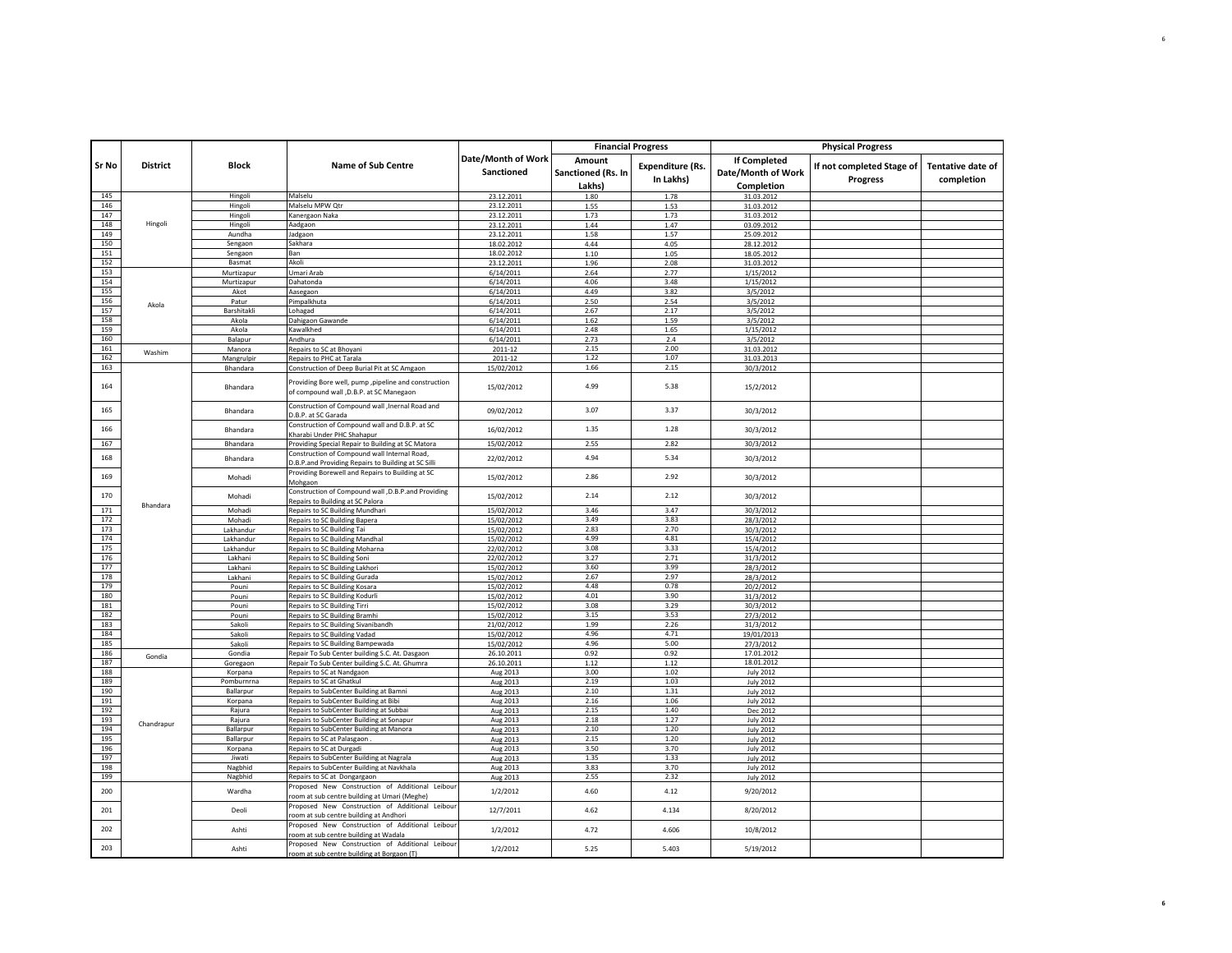|            |                 |                      |                                                                                                     |                                  | <b>Financial Progress</b>    |                                      | <b>Physical Progress</b>                  |                                              |                                        |
|------------|-----------------|----------------------|-----------------------------------------------------------------------------------------------------|----------------------------------|------------------------------|--------------------------------------|-------------------------------------------|----------------------------------------------|----------------------------------------|
| Sr No      | <b>District</b> | <b>Block</b>         | <b>Name of Sub Centre</b>                                                                           | Date/Month of Work<br>Sanctioned | Amount<br>Sanctioned (Rs. In | <b>Expenditure (Rs.</b><br>In Lakhs) | <b>If Completed</b><br>Date/Month of Work | If not completed Stage of<br><b>Progress</b> | <b>Tentative date of</b><br>completion |
|            |                 |                      |                                                                                                     |                                  | Lakhs)                       |                                      | Completion                                |                                              |                                        |
| 145        |                 | Hingoli              | Malselu                                                                                             | 23.12.2011                       | 1.80                         | 1.78                                 | 31.03.2012                                |                                              |                                        |
| 146        |                 | Hingoli              | Malselu MPW Qtr                                                                                     | 23.12.2011                       | 1.55                         | 1.53                                 | 31.03.2012                                |                                              |                                        |
| 147        |                 | Hingoli              | Kanergaon Naka                                                                                      | 23.12.2011                       | 1.73                         | 1.73                                 | 31.03.2012                                |                                              |                                        |
| 148        | Hingoli         | Hingoli              | Aadgaon                                                                                             | 23.12.2011                       | 1.44                         | 1.47                                 | 03.09.2012                                |                                              |                                        |
| 149        |                 | Aundha               | Jadgaon                                                                                             | 23.12.2011                       | 1.58                         | 1.57                                 | 25.09.2012                                |                                              |                                        |
| 150        |                 | Sengaon              | Sakhara                                                                                             | 18.02.2012                       | 4.44                         | 4.05                                 | 28.12.2012                                |                                              |                                        |
| 151        |                 | Sengaon              | Ban                                                                                                 | 18.02.2012                       | 1.10                         | 1.05                                 | 18.05.2012                                |                                              |                                        |
| 152        |                 | Basmat               | Akoli                                                                                               | 23.12.2011                       | 1.96                         | 2.08                                 | 31.03.2012                                |                                              |                                        |
| 153        |                 | Murtizapur           | Umari Arab                                                                                          | 6/14/2011                        | 2.64                         | 2.77                                 | 1/15/2012                                 |                                              |                                        |
| 154        |                 | Murtizapur           | Dahatonda                                                                                           | 6/14/2011                        | 4.06                         | 3.48                                 | 1/15/2012                                 |                                              |                                        |
| 155<br>156 |                 | Akot                 | Aasegaon                                                                                            | 6/14/2011                        | 4.49                         | 3.82                                 | 3/5/2012                                  |                                              |                                        |
| 157        | Akola           | Patur<br>Barshitakli | Pimpalkhuta                                                                                         | 6/14/2011<br>6/14/2011           | 2.50<br>2.67                 | 2.54<br>2.17                         | 3/5/2012                                  |                                              |                                        |
| 158        |                 |                      | Lohagad                                                                                             |                                  |                              |                                      | 3/5/2012                                  |                                              |                                        |
| 159        |                 | Akola<br>Akola       | Dahigaon Gawande<br>Kawalkhed                                                                       | 6/14/2011<br>6/14/2011           | 1.62<br>2.48                 | 1.59<br>1.65                         | 3/5/2012<br>1/15/2012                     |                                              |                                        |
| 160        |                 |                      | Andhura                                                                                             |                                  | 2.73                         | 2.4                                  |                                           |                                              |                                        |
| 161        |                 | Balapur              |                                                                                                     | 6/14/2011                        | 2.15                         | 2.00                                 | 3/5/2012                                  |                                              |                                        |
|            | Washim          | Manora               | Repairs to SC at Bhoyani                                                                            | 2011-12                          | 1.22                         | 1.07                                 | 31.03.2012                                |                                              |                                        |
| 162<br>163 |                 | Mangrulpir           | Repairs to PHC at Tarala                                                                            | 2011-12                          | 1.66                         | 2.15                                 | 31.03.2013                                |                                              |                                        |
|            |                 | Bhandara             | Construction of Deep Burial Pit at SC Amgaon                                                        | 15/02/2012                       |                              |                                      | 30/3/2012                                 |                                              |                                        |
| 164        |                 | Bhandara             | Providing Bore well, pump , pipeline and construction<br>of compound wall ,D.B.P. at SC Manegaon    | 15/02/2012                       | 4.99                         | 5.38                                 | 15/2/2012                                 |                                              |                                        |
| 165        |                 | Bhandara             | Construction of Compound wall , Inernal Road and<br>D.B.P. at SC Garada                             | 09/02/2012                       | 3.07                         | 3.37                                 | 30/3/2012                                 |                                              |                                        |
| 166        |                 | Bhandara             | Construction of Compound wall and D.B.P. at SC<br>Kharabi Under PHC Shahapur                        | 16/02/2012                       | 1.35                         | 1.28                                 | 30/3/2012                                 |                                              |                                        |
| 167        |                 | Bhandara             | Providing Special Repair to Building at SC Matora                                                   | 15/02/2012                       | 2.55                         | 2.82                                 | 30/3/2012                                 |                                              |                                        |
| 168        | Bhandara        | Bhandara             | Construction of Compound wall Internal Road,<br>D.B.P.and Providing Repairs to Building at SC Silli | 22/02/2012                       | 4.94                         | 5.34                                 | 30/3/2012                                 |                                              |                                        |
| 169        |                 | Mohadi               | Providing Borewell and Repairs to Building at SC<br>Mohgaon                                         | 15/02/2012                       | 2.86                         | 2.92                                 | 30/3/2012                                 |                                              |                                        |
| 170        |                 | Mohadi               | Construction of Compound wall , D.B.P.and Providing<br>Repairs to Building at SC Palora             | 15/02/2012                       | 2.14                         | 2.12                                 | 30/3/2012                                 |                                              |                                        |
| 171        |                 | Mohadi               | Repairs to SC Building Mundhari                                                                     | 15/02/2012                       | 3.46                         | 3.47                                 | 30/3/2012                                 |                                              |                                        |
| 172        |                 | Mohadi               | Repairs to SC Building Bapera                                                                       | 15/02/2012                       | 3.49                         | 3.83                                 | 28/3/2012                                 |                                              |                                        |
| 173        |                 | Lakhandur            | Repairs to SC Building Tai                                                                          | 15/02/2012                       | 2.83                         | 2.70                                 | 30/3/2012                                 |                                              |                                        |
| 174        |                 | Lakhandur            | Repairs to SC Building Mandhal                                                                      | 15/02/2012                       | 4.99                         | 4.81                                 | 15/4/2012                                 |                                              |                                        |
| 175        |                 | Lakhandur            | Repairs to SC Building Moharna                                                                      | 22/02/2012                       | 3.08                         | 3.33                                 | 15/4/2012                                 |                                              |                                        |
| 176        |                 | Lakhani              | Repairs to SC Building Soni                                                                         | 22/02/2012                       | 3.27                         | 2.71                                 | 31/3/2012                                 |                                              |                                        |
| 177        |                 | Lakhani              | Repairs to SC Building Lakhori                                                                      | 15/02/2012                       | 3.60                         | 3.99                                 | 28/3/2012                                 |                                              |                                        |
| 178<br>179 |                 | Lakhani              | Repairs to SC Building Gurada                                                                       | 15/02/2012                       | 2.67<br>4.48                 | 2.97<br>0.78                         | 28/3/2012                                 |                                              |                                        |
|            |                 | Pouni                | Repairs to SC Building Kosara                                                                       | 15/02/2012                       |                              |                                      | 20/2/2012                                 |                                              |                                        |
| 180<br>181 |                 | Pouni                | Repairs to SC Building Kodurli                                                                      | 15/02/2012                       | 4.01<br>3.08                 | 3.90<br>3.29                         | 31/3/2012                                 |                                              |                                        |
| 182        |                 | Pouni<br>Pouni       | Repairs to SC Building Tirri<br>Repairs to SC Building Bramhi                                       | 15/02/2012<br>15/02/2012         | 3.15                         | 3.53                                 | 30/3/2012<br>27/3/2012                    |                                              |                                        |
| 183        |                 | Sakoli               | Repairs to SC Building Sivanibandh                                                                  |                                  | 1.99                         | 2.26                                 |                                           |                                              |                                        |
| 184        |                 | Sakoli               | Repairs to SC Building Vadad                                                                        | 21/02/2012<br>15/02/2012         | 4.96                         | 4.71                                 | 31/3/2012<br>19/01/2013                   |                                              |                                        |
| 185        |                 | Sakoli               | Repairs to SC Building Bampewada                                                                    | 15/02/2012                       | 4.96                         | 5.00                                 | 27/3/2012                                 |                                              |                                        |
| 186        |                 | Gondia               | Repair To Sub Center building S.C. At. Dasgaon                                                      | 26.10.2011                       | 0.92                         | 0.92                                 | 17.01.2012                                |                                              |                                        |
| 187        | Gondia          | Goregaon             | Repair To Sub Center building S.C. At. Ghumra                                                       | 26.10.2011                       | 1.12                         | 1.12                                 | 18.01.2012                                |                                              |                                        |
| 188        |                 | Korpana              | Repairs to SC at Nandgaon                                                                           | Aug 2013                         | 3.00                         | 1.02                                 | <b>July 2012</b>                          |                                              |                                        |
| 189        |                 | Pomburnrna           | Repairs to SC at Ghatkul                                                                            | Aug 2013                         | 2.19                         | 1.03                                 | <b>July 2012</b>                          |                                              |                                        |
| 190        |                 | Ballarpur            | Repairs to SubCenter Building at Bamni                                                              | Aug 2013                         | 2.10                         | 1.31                                 | <b>July 2012</b>                          |                                              |                                        |
| 191        |                 | Korpana              | Repairs to SubCenter Building at Bibi                                                               | Aug 2013                         | 2.16                         | 1.06                                 | <b>July 2012</b>                          |                                              |                                        |
| 192        |                 | Rajura               | Repairs to SubCenter Building at Subbai                                                             | Aug 2013                         | 2.15                         | 1.40                                 | Dec 2012                                  |                                              |                                        |
| 193        |                 | Rajura               | Repairs to SubCenter Building at Sonapur                                                            | Aug 2013                         | 2.18                         | 1.27                                 | <b>July 2012</b>                          |                                              |                                        |
| 194        | Chandrapur      | Ballarpur            | Repairs to SubCenter Building at Manora                                                             | Aug 2013                         | 2.10                         | 1.20                                 | <b>July 2012</b>                          |                                              |                                        |
| 195        |                 | Ballarpur            | Repairs to SC at Palasgaon                                                                          | Aug 2013                         | 2.15                         | 1.20                                 | <b>July 2012</b>                          |                                              |                                        |
| 196        |                 | Korpana              | Repairs to SC at Durgadi                                                                            | Aug 2013                         | 3.50                         | 3.70                                 | <b>July 2012</b>                          |                                              |                                        |
| 197        |                 | Jiwati               | Repairs to SubCenter Building at Nagrala                                                            | Aug 2013                         | 1.35                         | 1.33                                 | <b>July 2012</b>                          |                                              |                                        |
| 198        |                 | Nagbhid              | Repairs to SubCenter Building at Navkhala                                                           | Aug 2013                         | 3.83                         | 3.70                                 | <b>July 2012</b>                          |                                              |                                        |
| 199        |                 | Nagbhid              | Repairs to SC at Dongargaon                                                                         | Aug 2013                         | 2.55                         | 2.32                                 | <b>July 2012</b>                          |                                              |                                        |
| 200        |                 | Wardha               | Proposed New Construction of Additional Leibour<br>room at sub centre building at Umari (Meghe)     | 1/2/2012                         | 4.60                         | 4.12                                 | 9/20/2012                                 |                                              |                                        |
| 201        |                 | Deoli                | Proposed New Construction of Additional Leibour<br>room at sub centre building at Andhori           | 12/7/2011                        | 4.62                         | 4.134                                | 8/20/2012                                 |                                              |                                        |
| 202        |                 | Ashti                | Proposed New Construction of Additional Leibour<br>room at sub centre building at Wadala            | 1/2/2012                         | 4.72                         | 4.606                                | 10/8/2012                                 |                                              |                                        |
| 203        |                 | Ashti                | Proposed New Construction of Additional Leibour<br>room at sub centre building at Borgaon (T)       | 1/2/2012                         | 5.25                         | 5.403                                | 5/19/2012                                 |                                              |                                        |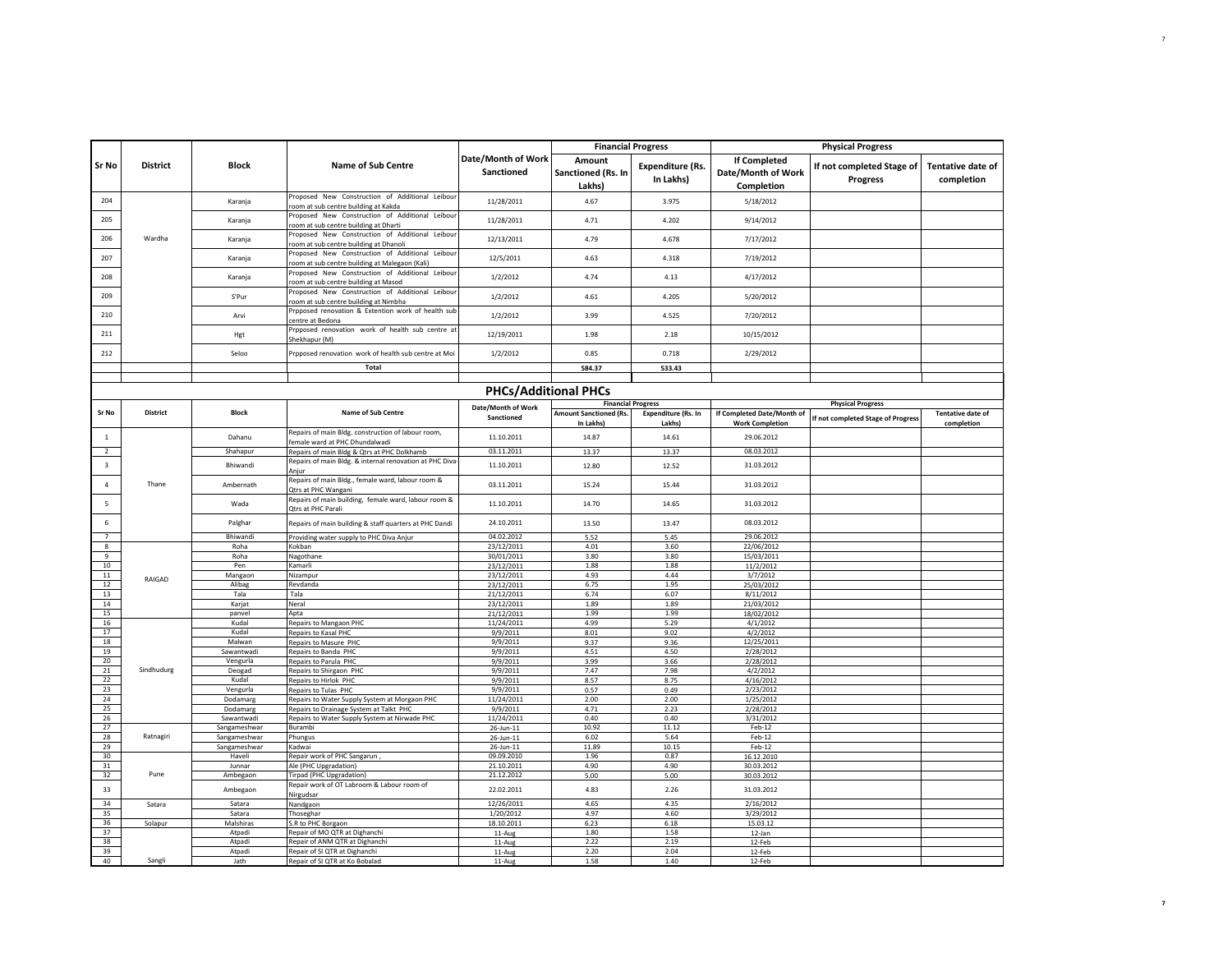|                     |                 |                            |                                                                                                   |                                         | <b>Financial Progress</b>                  |                                      |                                                         | <b>Physical Progress</b>                     |                                 |
|---------------------|-----------------|----------------------------|---------------------------------------------------------------------------------------------------|-----------------------------------------|--------------------------------------------|--------------------------------------|---------------------------------------------------------|----------------------------------------------|---------------------------------|
| <b>Sr No</b>        | <b>District</b> | <b>Block</b>               | <b>Name of Sub Centre</b>                                                                         | Date/Month of Work<br><b>Sanctioned</b> | Amount<br>Sanctioned (Rs. In<br>Lakhs)     | <b>Expenditure (Rs.</b><br>In Lakhs) | <b>If Completed</b><br>Date/Month of Work<br>Completion | If not completed Stage of<br><b>Progress</b> | Tentative date of<br>completion |
| 204                 |                 | Karanja                    | Proposed New Construction of Additional Leibour<br>room at sub centre building at Kakda           | 11/28/2011                              | 4.67                                       | 3.975                                | 5/18/2012                                               |                                              |                                 |
| 205                 |                 | Karanja                    | Proposed New Construction of Additional Leibour<br>room at sub centre building at Dharti          | 11/28/2011                              | 4.71                                       | 4.202                                | 9/14/2012                                               |                                              |                                 |
| 206                 | Wardha          | Karanja                    | Proposed New Construction of Additional Leibour<br>room at sub centre building at Dhanoli         | 12/13/2011                              | 4.79                                       | 4.678                                | 7/17/2012                                               |                                              |                                 |
| 207                 |                 | Karania                    | Proposed New Construction of Additional Leibour<br>room at sub centre building at Malegaon (Kali) | 12/5/2011                               | 4.63                                       | 4.318                                | 7/19/2012                                               |                                              |                                 |
| 208                 |                 | Karanja                    | Proposed New Construction of Additional Leibour<br>room at sub centre building at Masod           | 1/2/2012                                | 4.74                                       | 4.13                                 | 4/17/2012                                               |                                              |                                 |
| 209                 |                 | S'Pur                      | Proposed New Construction of Additional Leibour<br>room at sub centre building at Nimbha          | 1/2/2012                                | 4.61                                       | 4.205                                | 5/20/2012                                               |                                              |                                 |
| 210                 |                 | Arvi                       | Prpposed renovation & Extention work of health sub<br>centre at Bedona                            | 1/2/2012                                | 3.99                                       | 4.525                                | 7/20/2012                                               |                                              |                                 |
| 211                 |                 | Hgt                        | Prpposed renovation work of health sub centre at<br>Shekhapur (M)                                 | 12/19/2011                              | 1.98                                       | 2.18                                 | 10/15/2012                                              |                                              |                                 |
| 212                 |                 | Seloo                      | Prpposed renovation work of health sub centre at Moi                                              | 1/2/2012                                | 0.85                                       | 0.718                                | 2/29/2012                                               |                                              |                                 |
|                     |                 |                            | Total                                                                                             |                                         | 584.37                                     | 533.43                               |                                                         |                                              |                                 |
|                     |                 |                            |                                                                                                   |                                         |                                            |                                      |                                                         |                                              |                                 |
|                     |                 |                            |                                                                                                   | <b>PHCs/Additional PHCs</b>             |                                            | <b>Financial Progress</b>            |                                                         | <b>Physical Progress</b>                     |                                 |
| Sr No               | <b>District</b> | Block                      | <b>Name of Sub Centre</b>                                                                         | Date/Month of Work<br>Sanctioned        | <b>Amount Sanctioned (Rs.</b><br>In Lakhs) | <b>Expenditure (Rs. In</b><br>Lakhs) | If Completed Date/Month of<br><b>Work Completion</b>    | If not completed Stage of Progress           | Tentative date of<br>completion |
| $1\,$               |                 | Dahanu                     | Repairs of main Bldg. construction of labour room,<br>female ward at PHC Dhundalwadi              | 11.10.2011                              | 14.87                                      | 14.61                                | 29.06.2012                                              |                                              |                                 |
| $\overline{2}$      |                 | Shahapur                   | Repairs of main Bldg & Qtrs at PHC Dolkhamb                                                       | 03.11.2011                              | 13.37                                      | 13.37                                | 08.03.2012                                              |                                              |                                 |
| $\mathsf 3$         | Thane           | Bhiwandi                   | Repairs of main Bldg. & internal renovation at PHC Diva<br>Aniur                                  | 11.10.2011                              | 12.80                                      | 12.52                                | 31.03.2012                                              |                                              |                                 |
| $\overline{4}$      |                 | Ambernath                  | Repairs of main Bldg., female ward, labour room &<br>Qtrs at PHC Wangani                          | 03.11.2011                              | 15.24                                      | 15.44                                | 31.03.2012                                              |                                              |                                 |
| $\overline{5}$      |                 | Wada                       | Repairs of main building, female ward, labour room &<br>Qtrs at PHC Parali                        | 11.10.2011                              | 14.70                                      | 14.65                                | 31.03.2012                                              |                                              |                                 |
| $\,$ 6 $\,$         |                 | Palghar                    | Repairs of main building & staff quarters at PHC Dandi                                            | 24.10.2011                              | 13.50                                      | 13.47                                | 08.03.2012                                              |                                              |                                 |
| $\overline{7}$<br>8 |                 | Bhiwandi<br>Roha           | Providing water supply to PHC Diva Anjur<br>Kokban                                                | 04.02.2012<br>23/12/2011                | 5.52<br>4.01                               | 5.45<br>3.60                         | 29.06.2012<br>22/06/2012                                |                                              |                                 |
| 9                   |                 | Roha                       | Nagothane                                                                                         | 30/01/2011                              | 3.80                                       | 3.80                                 | 15/03/2011                                              |                                              |                                 |
| 10                  |                 | Pen                        | Kamarli                                                                                           | 23/12/2011                              | 1.88                                       | 1.88                                 | 11/2/2012                                               |                                              |                                 |
| $11\,$              | RAIGAD          | Mangaon                    | Nizampur                                                                                          | 23/12/2011                              | 4.93                                       | 4.44                                 | 3/7/2012                                                |                                              |                                 |
| 12                  |                 | Alibag                     | Revdanda                                                                                          | 23/12/2011                              | 6.75                                       | 1.95                                 | 25/03/2012                                              |                                              |                                 |
| 13<br>14            |                 | Tala<br>Karjat             | Tala<br>Neral                                                                                     | 21/12/2011                              | 6.74<br>1.89                               | 6.07<br>1.89                         | 8/11/2012                                               |                                              |                                 |
| 15                  |                 | panvel                     | Apta                                                                                              | 23/12/2011<br>21/12/2011                | 1.99                                       | 1.99                                 | 21/03/2012<br>18/02/2012                                |                                              |                                 |
| 16                  |                 | Kudal                      | Repairs to Mangaon PHC                                                                            | 11/24/2011                              | 4.99                                       | 5.29                                 | 4/1/2012                                                |                                              |                                 |
| 17                  |                 | Kudal                      | Repairs to Kasal PHC                                                                              | 9/9/2011                                | 8.01                                       | 9.02                                 | 4/2/2012                                                |                                              |                                 |
| 18                  |                 | Malwan                     | Repairs to Masure PHC                                                                             | 9/9/2011                                | 9.37                                       | 9.36                                 | 12/25/2011                                              |                                              |                                 |
| $19\,$              |                 | Sawantwadi                 | Repairs to Banda PHC                                                                              | 9/9/2011                                | 4.51                                       | 4.50                                 | 2/28/2012                                               |                                              |                                 |
| 20<br>21            | Sindhudurg      | Vengurla<br>Deogad         | Repairs to Parula PHC<br>Repairs to Shirgaon PHC                                                  | 9/9/2011<br>9/9/2011                    | 3.99<br>7.47                               | 3.66<br>7.98                         | 2/28/2012<br>4/2/2012                                   |                                              |                                 |
| 22                  |                 | Kudal                      | Repairs to Hirlok PHC                                                                             | 9/9/2011                                | 8.57                                       | 8.75                                 | 4/16/2012                                               |                                              |                                 |
| 23                  |                 | Vengurla                   | Repairs to Tulas PHC                                                                              | 9/9/2011                                | 0.57                                       | 0.49                                 | 2/23/2012                                               |                                              |                                 |
| 24                  |                 | Dodamarg                   | Repairs to Water Supply System at Morgaon PHC                                                     | 11/24/2011                              | 2.00                                       | 2.00                                 | 1/25/2012                                               |                                              |                                 |
| 25                  |                 | Dodamarg                   | Repairs to Drainage System at Talkt PHC                                                           | 9/9/2011                                | 4.71                                       | 2.23                                 | 2/28/2012                                               |                                              |                                 |
| 26<br>27            |                 | Sawantwadi<br>Sangameshwar | Repairs to Water Supply System at Nirwade PHC<br>Burambi                                          | 11/24/2011                              | 0.40<br>10.92                              | 0.40<br>11.12                        | 3/31/2012<br>Feb-12                                     |                                              |                                 |
| 28                  | Ratnagiri       | Sangameshwar               | Phungus                                                                                           | 26-Jun-11<br>26-Jun-11                  | 6.02                                       | 5.64                                 | Feb-12                                                  |                                              |                                 |
| 29                  |                 | Sangameshwar               | Kadwai                                                                                            | 26-Jun-11                               | 11.89                                      | 10.15                                | Feb-12                                                  |                                              |                                 |
| 30                  |                 | Havel                      | Repair work of PHC Sangarun,                                                                      | 09.09.2010                              | 1.96                                       | 0.87                                 | 16.12.2010                                              |                                              |                                 |
| $31\,$              |                 | Junnar                     | Ale (PHC Upgradation)                                                                             | 21.10.2011                              | 4.90                                       | 4.90                                 | 30.03.2012                                              |                                              |                                 |
| 32<br>33            | Pune            | Ambegaon                   | Tirpad (PHC Upgradation)<br>Repair work of OT Labroom & Labour room of                            | 21.12.2012<br>22.02.2011                | 5.00<br>4.83                               | 5.00<br>2.26                         | 30.03.2012                                              |                                              |                                 |
| 34                  | Satara          | Ambegaon<br>Satara         | Nirgudsar<br>Nandgaon                                                                             | 12/26/2011                              | 4.65                                       | 4.35                                 | 31.03.2012<br>2/16/2012                                 |                                              |                                 |
| 35                  |                 | Satara                     | Thoseghar                                                                                         | 1/20/2012                               | 4.97                                       | 4.60                                 | 3/29/2012                                               |                                              |                                 |
| 36                  | Solapur         | Malshiras                  | S.R to PHC Borgaon                                                                                | 18.10.2011                              | 6.23                                       | 6.18                                 | 15.03.12                                                |                                              |                                 |
| 37                  |                 | Atpadi                     | Repair of MO QTR at Dighanchi                                                                     | 11-Aug                                  | 1.80                                       | 1.58                                 | $12$ -Jan                                               |                                              |                                 |
| 38<br>39            |                 | Atpadi<br>Atpadi           | Repair of ANM QTR at Dighanchi<br>Repair of SI QTR at Dighanchi                                   | 11-Aug<br>11-Aug                        | 2.22<br>2.20                               | 2.19<br>2.04                         | 12-Feb<br>12-Feb                                        |                                              |                                 |
| 40                  | Sangli          | Jath                       | Repair of SI QTR at Ko Bobalad                                                                    | 11-Aug                                  | 1.58                                       | 1.40                                 | 12-Feb                                                  |                                              |                                 |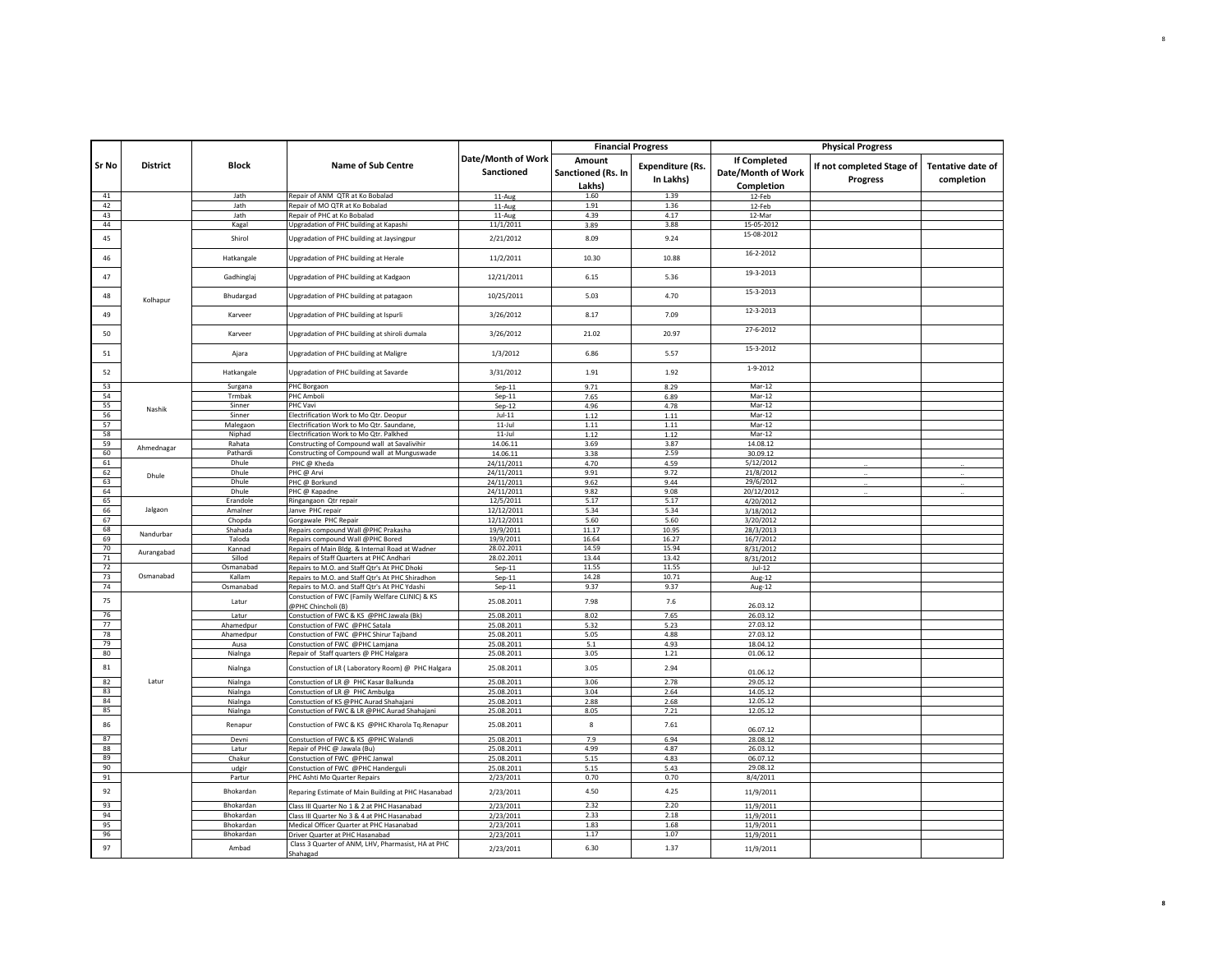|              |                 |                  |                                                                                             |                                  |                                        | <b>Financial Progress</b>            |                                           | <b>Physical Progress</b>                     |                                        |
|--------------|-----------------|------------------|---------------------------------------------------------------------------------------------|----------------------------------|----------------------------------------|--------------------------------------|-------------------------------------------|----------------------------------------------|----------------------------------------|
| <b>Sr No</b> | <b>District</b> | Block            | <b>Name of Sub Centre</b>                                                                   | Date/Month of Work<br>Sanctioned | Amount<br>Sanctioned (Rs. In<br>Lakhs) | <b>Expenditure (Rs.</b><br>In Lakhs) | <b>If Completed</b><br>Date/Month of Work | If not completed Stage of<br><b>Progress</b> | <b>Tentative date of</b><br>completion |
| 41           |                 | Jath             | Repair of ANM QTR at Ko Bobalad                                                             | $11-Aug$                         | 1.60                                   | 1.39                                 | Completion<br>12-Feb                      |                                              |                                        |
| 42           |                 | Jath             | Repair of MO QTR at Ko Bobalad                                                              | 11-Aug                           | 1.91                                   | 1.36                                 | 12-Feb                                    |                                              |                                        |
| 43           |                 | Jath             | Repair of PHC at Ko Bobalad                                                                 | 11-Aug                           | 4.39                                   | 4.17                                 | 12-Mar                                    |                                              |                                        |
| 44           |                 | Kagal            | Upgradation of PHC building at Kapashi                                                      | 11/1/2011                        | 3.89                                   | 3.88                                 | 15-05-2012                                |                                              |                                        |
| 45           |                 | Shirol           | Upgradation of PHC building at Jaysingpur                                                   | 2/21/2012                        | 8.09                                   | 9.24                                 | 15-08-2012                                |                                              |                                        |
| 46           |                 | Hatkangale       | Upgradation of PHC building at Herale                                                       | 11/2/2011                        | 10.30                                  | 10.88                                | 16-2-2012                                 |                                              |                                        |
| 47           |                 | Gadhinglaj       | Upgradation of PHC building at Kadgaon                                                      | 12/21/2011                       | 6.15                                   | 5.36                                 | 19-3-2013                                 |                                              |                                        |
| 48           | Kolhapur        | Bhudargad        | Upgradation of PHC building at patagaon                                                     | 10/25/2011                       | 5.03                                   | 4.70                                 | 15-3-2013                                 |                                              |                                        |
| 49           |                 | Karveer          | Upgradation of PHC building at Ispurli                                                      | 3/26/2012                        | 8.17                                   | 7.09                                 | 12-3-2013                                 |                                              |                                        |
| 50           |                 | Karveer          | Upgradation of PHC building at shiroli dumala                                               | 3/26/2012                        | 21.02                                  | 20.97                                | 27-6-2012                                 |                                              |                                        |
| 51           |                 | Ajara            | Upgradation of PHC building at Maligre                                                      | 1/3/2012                         | 6.86                                   | 5.57                                 | 15-3-2012                                 |                                              |                                        |
| 52           |                 | Hatkangale       | Upgradation of PHC building at Savarde                                                      | 3/31/2012                        | 1.91                                   | 1.92                                 | 1-9-2012                                  |                                              |                                        |
| 53           |                 | Surgana          | PHC Borgaon                                                                                 | $Sep-11$                         | 9.71                                   | 8.29                                 | Mar-12                                    |                                              |                                        |
| 54           |                 | Trmbak           | PHC Amboli                                                                                  | Sep-11                           | 7.65                                   | 6.89                                 | $Mar-12$                                  |                                              |                                        |
| 55           |                 | Sinner           | PHC Vavi                                                                                    | $Sep-12$                         | 4.96                                   | 4.78                                 | Mar-12                                    |                                              |                                        |
| 56           | Nashik          | Sinner           | Electrification Work to Mo Qtr. Deopur                                                      | $Jul-11$                         | 1.12                                   | 1.11                                 | Mar-12                                    |                                              |                                        |
| 57           |                 | Malegaon         | Electrification Work to Mo Qtr. Saundane,                                                   | $11$ -Jul                        | 1.11                                   | 1.11                                 | Mar-12                                    |                                              |                                        |
| 58           |                 | Niphad           | Electrification Work to Mo Qtr. Palkhed                                                     | $11$ -Jul                        | 1.12                                   | 1.12                                 | Mar-12                                    |                                              |                                        |
| 59           | Ahmednagar      | Rahata           | Constructing of Compound wall at Savalivihir                                                | 14.06.11                         | 3.69                                   | 3.87                                 | 14.08.12                                  |                                              |                                        |
| 60           |                 | Pathardi         | Constructing of Compound wall at Munguswade                                                 | 14.06.11                         | 3.38                                   | 2.59                                 | 30.09.12                                  |                                              |                                        |
| 61           |                 | Dhule            | PHC @ Kheda                                                                                 | 24/11/2011                       | 4.70                                   | 4.59                                 | 5/12/2012                                 |                                              |                                        |
| 62           | Dhule           | Dhule            | PHC @ Arvi                                                                                  | 24/11/2011                       | 9.91                                   | 9.72                                 | 21/8/2012                                 |                                              |                                        |
| 63           |                 | Dhule            | PHC @ Borkund                                                                               | 24/11/2011                       | 9.62                                   | 9.44                                 | 29/6/2012                                 |                                              |                                        |
| 64           |                 | Dhule            | PHC @ Kapadne                                                                               | 24/11/2011                       | 9.82                                   | 9.08                                 | 20/12/2012                                |                                              |                                        |
| 65           |                 | Erandole         | Ringangaon Qtr repair                                                                       | 12/5/2011                        | 5.17                                   | 5.17                                 | 4/20/2012                                 |                                              |                                        |
| 66           | Jalgaon         | Amalner          | Janve PHC repair                                                                            | 12/12/2011                       | 5.34                                   | 5.34                                 | 3/18/2012                                 |                                              |                                        |
| 67           |                 | Chopda           | Gorgawale PHC Repair                                                                        | 12/12/2011                       | 5.60                                   | 5.60                                 | 3/20/2012                                 |                                              |                                        |
| 68           | Nandurbar       | Shahada          | Repairs compound Wall @PHC Prakasha                                                         | 19/9/2011                        | 11.17                                  | 10.95                                | 28/3/2013                                 |                                              |                                        |
| 69           |                 | Taloda           | Repairs compound Wall @PHC Bored                                                            | 19/9/2011                        | 16.64                                  | 16.27                                | 16/7/2012                                 |                                              |                                        |
| 70<br>$71\,$ | Aurangabad      | Kannad<br>Sillod | Repairs of Main Bldg. & Internal Road at Wadner<br>Repairs of Staff Quarters at PHC Andhari | 28.02.2011<br>28.02.2011         | 14.59<br>13.44                         | 15.94<br>13.42                       | 8/31/2012                                 |                                              |                                        |
| 72           |                 | Osmanabad        | Repairs to M.O. and Staff Qtr's At PHC Dhoki                                                | $Sep-11$                         | 11.55                                  | 11.55                                | 8/31/2012<br>$Jul-12$                     |                                              |                                        |
| 73           | Osmanabad       | Kallam           | Repairs to M.O. and Staff Qtr's At PHC Shiradhon                                            | $Sep-11$                         | 14.28                                  | 10.71                                | Aug-12                                    |                                              |                                        |
| 74           |                 | Osmanabad        | Repairs to M.O. and Staff Qtr's At PHC Ydashi                                               | Sep-11                           | 9.37                                   | 9.37                                 | Aug-12                                    |                                              |                                        |
| 75           |                 | Latur            | Constuction of FWC (Family Welfare CLINIC) & KS<br>@PHC Chincholi (B)                       | 25.08.2011                       | 7.98                                   | 7.6                                  | 26.03.12                                  |                                              |                                        |
| 76           |                 | Latur            | Constuction of FWC & KS @PHC Jawala (Bk)                                                    | 25.08.2011                       | 8.02                                   | 7.65                                 | 26.03.12                                  |                                              |                                        |
| 77           |                 | Ahamedpur        | Constuction of FWC @PHC Satala                                                              | 25.08.2011                       | 5.32                                   | 5.23                                 | 27.03.12                                  |                                              |                                        |
| 78           |                 | Ahamedpur        | Constuction of FWC @PHC Shirur Tajband                                                      | 25.08.2011                       | 5.05                                   | 4.88                                 | 27.03.12                                  |                                              |                                        |
| 79           |                 | Ausa             | Constuction of FWC @PHC Lamjana                                                             | 25.08.2011                       | 5.1                                    | 4.93                                 | 18.04.12                                  |                                              |                                        |
| 80           |                 | Nialnga          | Repair of Staff quarters @ PHC Halgara                                                      | 25.08.2011                       | 3.05                                   | 1.21                                 | 01.06.12                                  |                                              |                                        |
| 81           |                 | Nialnga          | Constuction of LR (Laboratory Room) @ PHC Halgara                                           | 25.08.2011                       | 3.05                                   | 2.94                                 | 01.06.12                                  |                                              |                                        |
| 82           | Latur           | Nialnga          | Constuction of LR @ PHC Kasar Balkunda                                                      | 25.08.2011                       | 3.06                                   | 2.78                                 | 29.05.12                                  |                                              |                                        |
| 83           |                 | Nialnga          | Constuction of LR @ PHC Ambulga                                                             | 25.08.2011                       | 3.04                                   | 2.64                                 | 14.05.12                                  |                                              |                                        |
| 84           |                 | Nialnga          | Constuction of KS @PHC Aurad Shahajani                                                      | 25.08.2011                       | 2.88                                   | 2.68                                 | 12.05.12                                  |                                              |                                        |
| 85           |                 | Nialnga          | Constuction of FWC & LR @PHC Aurad Shahajani                                                | 25.08.2011                       | 8.05                                   | 7.21                                 | 12.05.12                                  |                                              |                                        |
| 86<br>87     |                 | Renapur<br>Devni | Constuction of FWC & KS @PHC Kharola Tq.Renapur<br>Constuction of FWC & KS @PHC Walandi     | 25.08.2011<br>25.08.2011         | 8<br>7.9                               | 7.61<br>6.94                         | 06.07.12<br>28.08.12                      |                                              |                                        |
| 88           |                 | Latur            | Repair of PHC @ Jawala (Bu)                                                                 | 25.08.2011                       | 4.99                                   | 4.87                                 | 26.03.12                                  |                                              |                                        |
| 89           |                 | Chakur           | Constuction of FWC @PHC Janwal                                                              | 25.08.2011                       | 5.15                                   | 4.83                                 | 06.07.12                                  |                                              |                                        |
| 90           |                 | udgir            | Constuction of FWC @PHC Handerguli                                                          | 25.08.2011                       | 5.15                                   | 5.43                                 | 29.08.12                                  |                                              |                                        |
| 91           |                 | Partur           | PHC Ashti Mo Quarter Repairs                                                                | 2/23/2011                        | 0.70                                   | 0.70                                 | 8/4/2011                                  |                                              |                                        |
| 92           |                 | Bhokardan        | Reparing Estimate of Main Building at PHC Hasanabad                                         | 2/23/2011                        | 4.50                                   | 4.25                                 | 11/9/2011                                 |                                              |                                        |
| 93           |                 | Bhokardan        | Class III Quarter No 1 & 2 at PHC Hasanabad                                                 | 2/23/2011                        | 2.32                                   | 2.20                                 | 11/9/2011                                 |                                              |                                        |
| 94           |                 | Bhokardan        | Class III Quarter No 3 & 4 at PHC Hasanabad                                                 | 2/23/2011                        | 2.33                                   | 2.18                                 | 11/9/2011                                 |                                              |                                        |
| 95           |                 | Bhokardan        | Medical Officer Quarter at PHC Hasanabad                                                    | 2/23/2011                        | 1.83                                   | 1.68                                 | 11/9/2011                                 |                                              |                                        |
| 96           |                 | Bhokardan        | Driver Quarter at PHC Hasanabad                                                             | 2/23/2011                        | 1.17                                   | 1.07                                 | 11/9/2011                                 |                                              |                                        |
|              |                 | Ambad            | Class 3 Quarter of ANM, LHV, Pharmasist, HA at PHC                                          | 2/23/2011                        | 6.30                                   | 1.37                                 | 11/9/2011                                 |                                              |                                        |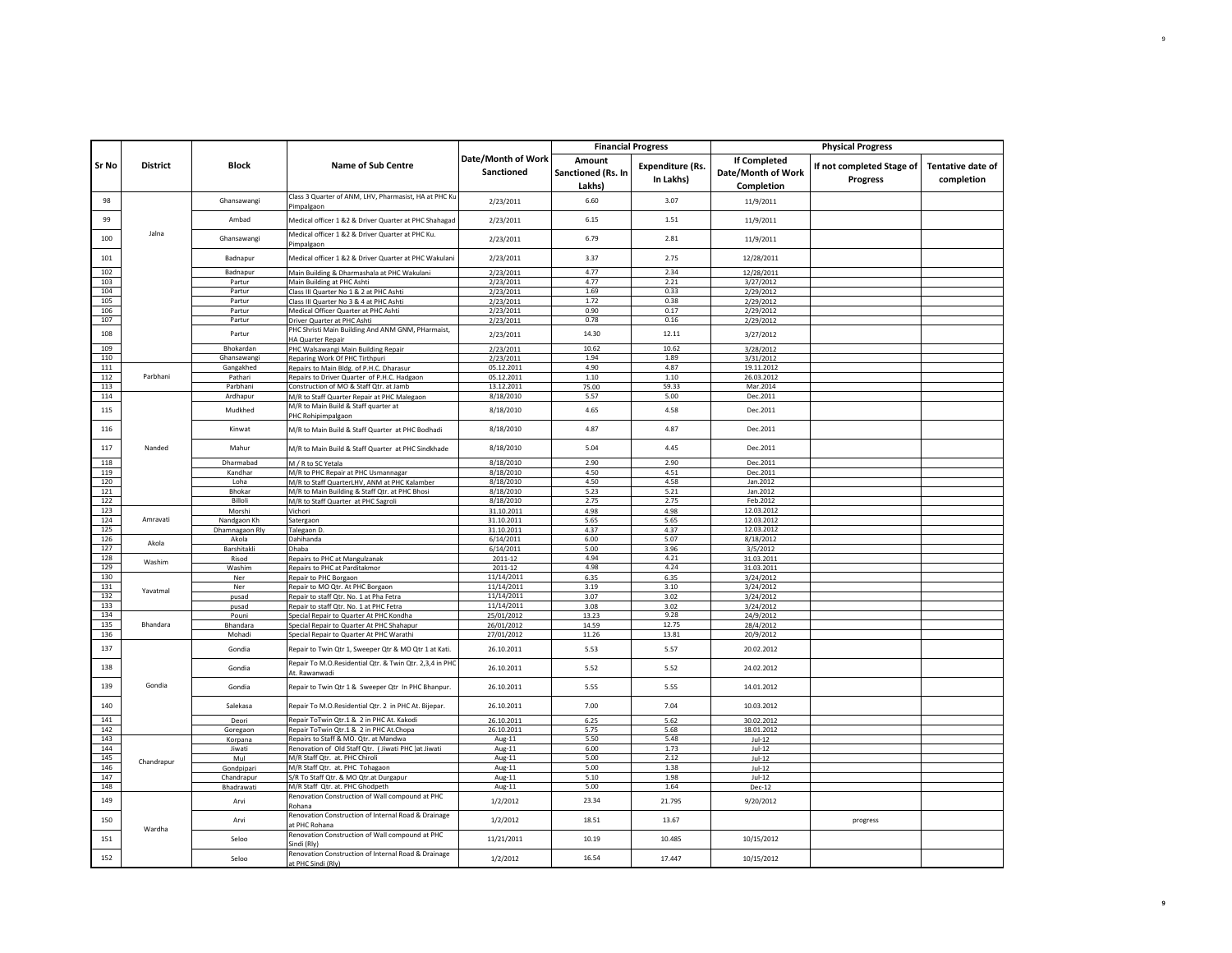|            |                 |                     |                                                                                              |                                  |                                        | <b>Financial Progress</b>            |                                                         | <b>Physical Progress</b>                     |                                        |
|------------|-----------------|---------------------|----------------------------------------------------------------------------------------------|----------------------------------|----------------------------------------|--------------------------------------|---------------------------------------------------------|----------------------------------------------|----------------------------------------|
| Sr No      | <b>District</b> | <b>Block</b>        | <b>Name of Sub Centre</b>                                                                    | Date/Month of Work<br>Sanctioned | Amount<br>Sanctioned (Rs. In<br>Lakhs) | <b>Expenditure (Rs.</b><br>In Lakhs) | <b>If Completed</b><br>Date/Month of Work<br>Completion | If not completed Stage of<br><b>Progress</b> | <b>Tentative date of</b><br>completion |
| 98         |                 | Ghansawangi         | Class 3 Quarter of ANM, LHV, Pharmasist, HA at PHC Ku<br>Pimpalgaon                          | 2/23/2011                        | 6.60                                   | 3.07                                 | 11/9/2011                                               |                                              |                                        |
| 99         |                 | Ambad               | Medical officer 1 &2 & Driver Quarter at PHC Shahagad                                        | 2/23/2011                        | 6.15                                   | 1.51                                 | 11/9/2011                                               |                                              |                                        |
| 100        | Jalna           | Ghansawangi         | Medical officer 1 &2 & Driver Quarter at PHC Ku.<br>Pimpalgaon                               | 2/23/2011                        | 6.79                                   | 2.81                                 | 11/9/2011                                               |                                              |                                        |
| 101        |                 | Badnapur            | Medical officer 1 &2 & Driver Quarter at PHC Wakulani                                        | 2/23/2011                        | 3.37                                   | 2.75                                 | 12/28/2011                                              |                                              |                                        |
| 102        |                 | Badnapur            | Main Building & Dharmashala at PHC Wakulani                                                  | 2/23/2011                        | 4.77                                   | 2.34                                 | 12/28/2011                                              |                                              |                                        |
| 103        |                 | Partur              | Main Building at PHC Ashti                                                                   | 2/23/2011                        | 4.77                                   | 2.21                                 | 3/27/2012                                               |                                              |                                        |
| 104        |                 | Partur              | Class III Quarter No 1 & 2 at PHC Ashti                                                      | 2/23/2011                        | 1.69                                   | 0.33                                 | 2/29/2012                                               |                                              |                                        |
| 105<br>106 |                 | Partur<br>Partur    | Class III Quarter No 3 & 4 at PHC Ashti<br>Medical Officer Quarter at PHC Ashti              | 2/23/2011<br>2/23/2011           | 1.72<br>0.90                           | 0.38<br>0.17                         | 2/29/2012<br>2/29/2012                                  |                                              |                                        |
| 107        |                 | Partur              | Driver Quarter at PHC Ashti                                                                  | 2/23/2011                        | 0.78                                   | 0.16                                 | 2/29/2012                                               |                                              |                                        |
| 108        |                 | Partur              | PHC Shristi Main Building And ANM GNM, PHarmaist,                                            | 2/23/2011                        | 14.30                                  | 12.11                                | 3/27/2012                                               |                                              |                                        |
| 109        |                 | Bhokardan           | HA Quarter Repair<br>PHC Walsawangi Main Building Repair                                     | 2/23/2011                        | 10.62                                  | 10.62                                | 3/28/2012                                               |                                              |                                        |
| 110        |                 | Ghansawangi         | Reparing Work Of PHC Tirthpuri                                                               | 2/23/2011                        | 1.94                                   | 1.89                                 | 3/31/2012                                               |                                              |                                        |
| 111        |                 | Gangakhed           | Repairs to Main Bldg. of P.H.C. Dharasur                                                     | 05.12.2011                       | 4.90                                   | 4.87                                 | 19.11.2012                                              |                                              |                                        |
| 112        | Parbhani        | Pathari             | Repairs to Driver Quarter of P.H.C. Hadgaon                                                  | 05.12.2011                       | 1.10                                   | 1.10                                 | 26.03.2012                                              |                                              |                                        |
| 113<br>114 |                 | Parbhani            | Construction of MO & Staff Qtr. at Jamb                                                      | 13.12.2011                       | 75.00                                  | 59.33<br>5.00                        | Mar.2014                                                |                                              |                                        |
| 115        |                 | Ardhapur<br>Mudkhed | M/R to Staff Quarter Repair at PHC Malegaon<br>M/R to Main Build & Staff quarter at          | 8/18/2010<br>8/18/2010           | 5.57<br>4.65                           | 4.58                                 | Dec.2011<br>Dec.2011                                    |                                              |                                        |
| 116        |                 | Kinwat              | PHC Rohipimpalgaon<br>M/R to Main Build & Staff Quarter at PHC Bodhadi                       | 8/18/2010                        | 4.87                                   | 4.87                                 | Dec.2011                                                |                                              |                                        |
| 117        | Nanded          | Mahur               | M/R to Main Build & Staff Quarter at PHC Sindkhade                                           | 8/18/2010                        | 5.04                                   | 4.45                                 | Dec.2011                                                |                                              |                                        |
| 118        |                 | Dharmabad           | M / R to SC Yetala                                                                           | 8/18/2010                        | 2.90                                   | 2.90                                 | Dec.2011                                                |                                              |                                        |
| 119        |                 | Kandhar             | M/R to PHC Repair at PHC Usmannagar                                                          | 8/18/2010                        | 4.50                                   | 4.51                                 | Dec.2011                                                |                                              |                                        |
| 120        |                 | Loha                | M/R to Staff QuarterLHV, ANM at PHC Kalamber                                                 | 8/18/2010                        | 4.50                                   | 4.58                                 | Jan.2012                                                |                                              |                                        |
| 121        |                 | Bhokar              | M/R to Main Building & Staff Qtr. at PHC Bhosi                                               | 8/18/2010                        | 5.23                                   | 5.21                                 | Jan.2012                                                |                                              |                                        |
| 122        |                 | Billoli             | M/R to Staff Quarter at PHC Sagroli                                                          | 8/18/2010                        | 2.75                                   | 2.75                                 | Feb.2012                                                |                                              |                                        |
| 123        |                 | Morshi              | Vichori                                                                                      | 31.10.2011                       | 4.98                                   | 4.98                                 | 12.03.2012                                              |                                              |                                        |
| 124        | Amravati        | Nandgaon Kh         | Satergaon                                                                                    | 31.10.2011                       | 5.65                                   | 5.65                                 | 12.03.2012                                              |                                              |                                        |
| 125        |                 | Dhamnagaon Rly      | Talegaon D.                                                                                  | 31.10.2011                       | 4.37                                   | 4.37                                 | 12.03.2012                                              |                                              |                                        |
| 126        | Akola           | Akola               | Dahihanda                                                                                    | 6/14/2011                        | 6.00                                   | 5.07                                 | 8/18/2012                                               |                                              |                                        |
| 127        |                 | Barshitakl          | Dhaba                                                                                        | 6/14/2011                        | 5.00                                   | 3.96                                 | 3/5/2012                                                |                                              |                                        |
| 128        | Washim          | Risod               | Repairs to PHC at Mangulzanak                                                                | 2011-12                          | 4.94                                   | 4.21                                 | 31.03.2011                                              |                                              |                                        |
| 129<br>130 |                 | Washim              | Repairs to PHC at Parditakmor                                                                | 2011-12<br>11/14/2011            | 4.98                                   | 4.24                                 | 31.03.2011                                              |                                              |                                        |
| 131        |                 | Ner<br>Ner          | Repair to PHC Borgaon<br>Repair to MO Qtr. At PHC Borgaon                                    | 11/14/2011                       | 6.35<br>3.19                           | 6.35<br>3.10                         | 3/24/2012<br>3/24/2012                                  |                                              |                                        |
| 132        | Yavatmal        | pusad               | Repair to staff Qtr. No. 1 at Pha Fetra                                                      | 11/14/2011                       | 3.07                                   | 3.02                                 | 3/24/2012                                               |                                              |                                        |
| 133        |                 | pusad               | Repair to staff Qtr. No. 1 at PHC Fetra                                                      | 11/14/2011                       | 3.08                                   | 3.02                                 | 3/24/2012                                               |                                              |                                        |
| 134        |                 | Pouni               | Special Repair to Quarter At PHC Kondha                                                      | 25/01/2012                       | 13.23                                  | 9.28                                 | 24/9/2012                                               |                                              |                                        |
| 135        | Bhandara        | Bhandara            | Special Repair to Quarter At PHC Shahapur                                                    | 26/01/2012                       | 14.59                                  | 12.75                                | 28/4/2012                                               |                                              |                                        |
| 136        |                 | Mohadi              | Special Repair to Quarter At PHC Warathi                                                     | 27/01/2012                       | 11.26                                  | 13.81                                | 20/9/2012                                               |                                              |                                        |
| 137        |                 | Gondia              | Repair to Twin Qtr 1, Sweeper Qtr & MO Qtr 1 at Kati.                                        | 26.10.2011                       | 5.53                                   | 5.57                                 | 20.02.2012                                              |                                              |                                        |
| 138        |                 | Gondia              | Repair To M.O.Residential Qtr. & Twin Qtr. 2,3,4 in PHC<br>At. Rawanwadi                     | 26.10.2011                       | 5.52                                   | 5.52                                 | 24.02.2012                                              |                                              |                                        |
| 139        | Gondia          | Gondia              | Repair to Twin Qtr 1 & Sweeper Qtr In PHC Bhanpur.                                           | 26.10.2011                       | 5.55                                   | 5.55                                 | 14.01.2012                                              |                                              |                                        |
| 140        |                 | Salekasa            | Repair To M.O.Residential Qtr. 2 in PHC At. Bijepar.                                         | 26.10.2011                       | 7.00                                   | 7.04                                 | 10.03.2012                                              |                                              |                                        |
| 141        |                 | Deori               | Repair ToTwin Qtr.1 & 2 in PHC At. Kakodi                                                    | 26.10.2011                       | 6.25                                   | 5.62                                 | 30.02.2012                                              |                                              |                                        |
| 142        |                 | Goregaon            | Repair ToTwin Qtr.1 & 2 in PHC At.Chopa                                                      | 26.10.2011                       | 5.75                                   | 5.68                                 | 18.01.2012                                              |                                              |                                        |
| 143<br>144 |                 | Korpana             | Repairs to Staff & MO. Qtr. at Mandwa<br>Renovation of Old Staff Qtr. (Jiwati PHC )at Jiwati | Aug-11<br>Aug-11                 | 5.50<br>6.00                           | 5.48<br>1.73                         | $Jul-12$<br>$Jul-12$                                    |                                              |                                        |
| 145        |                 | Jiwati<br>Mul       | M/R Staff Qtr. at. PHC Chiroli                                                               | Aug-11                           | 5.00                                   | 2.12                                 |                                                         |                                              |                                        |
| 146        | Chandrapur      | Gondpipari          | M/R Staff Qtr. at. PHC Tohagaon                                                              | Aug-11                           | 5.00                                   | 1.38                                 | $Jul-12$<br>$Jul-12$                                    |                                              |                                        |
| 147        |                 | Chandrapur          | S/R To Staff Qtr. & MO Qtr.at Durgapur                                                       | Aug-11                           | 5.10                                   | 1.98                                 | $Jul-12$                                                |                                              |                                        |
| 148        |                 | Bhadrawati          | M/R Staff Qtr. at. PHC Ghodpeth                                                              | Aug-11                           | 5.00                                   | 1.64                                 | Dec-12                                                  |                                              |                                        |
| 149        |                 | Arvi                | Renovation Construction of Wall compound at PHC<br>Rohana                                    | 1/2/2012                         | 23.34                                  | 21.795                               | 9/20/2012                                               |                                              |                                        |
| 150        |                 | Arvi                | Renovation Construction of Internal Road & Drainage<br>at PHC Rohana                         | 1/2/2012                         | 18.51                                  | 13.67                                |                                                         | progress                                     |                                        |
| 151        | Wardha          | Seloo               | Renovation Construction of Wall compound at PHC<br>Sindi (Rlv)                               | 11/21/2011                       | 10.19                                  | 10.485                               | 10/15/2012                                              |                                              |                                        |
| 152        |                 | Seloo               | Renovation Construction of Internal Road & Drainage<br>t PHC Sindi (Rly)                     | 1/2/2012                         | 16.54                                  | 17.447                               | 10/15/2012                                              |                                              |                                        |

**9**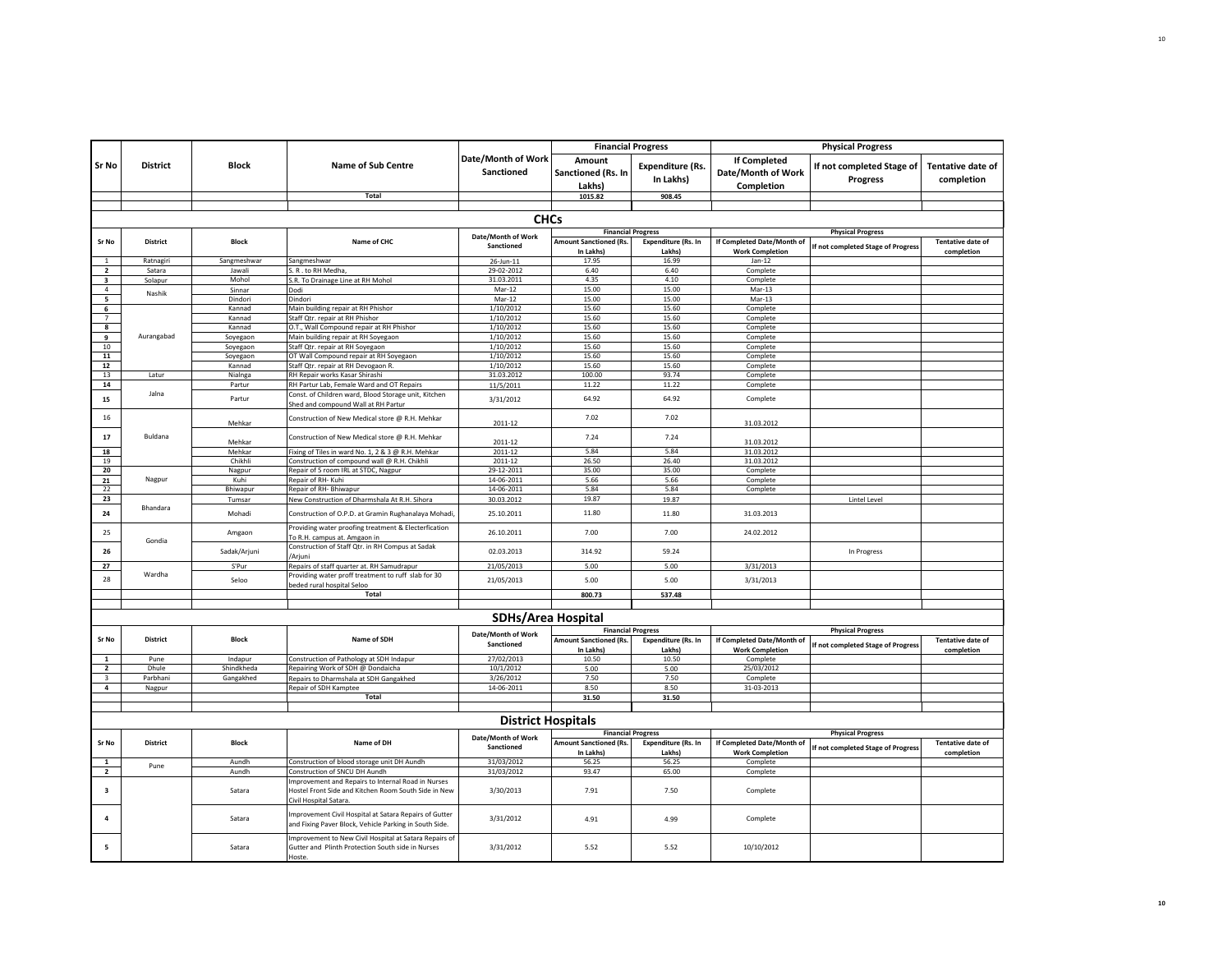|                                  |                                                                                                                            |                  |                                                                                                                                     |                                         | <b>Financial Progress</b>                 |                                      | <b>Physical Progress</b>                  |                                              |                                 |
|----------------------------------|----------------------------------------------------------------------------------------------------------------------------|------------------|-------------------------------------------------------------------------------------------------------------------------------------|-----------------------------------------|-------------------------------------------|--------------------------------------|-------------------------------------------|----------------------------------------------|---------------------------------|
| Sr No                            | <b>District</b>                                                                                                            | <b>Block</b>     | <b>Name of Sub Centre</b>                                                                                                           | Date/Month of Work<br><b>Sanctioned</b> | Amount<br>Sanctioned (Rs. In              | <b>Expenditure (Rs.</b><br>In Lakhs) | <b>If Completed</b><br>Date/Month of Work | If not completed Stage of<br><b>Progress</b> | Tentative date of<br>completion |
|                                  |                                                                                                                            |                  | Total                                                                                                                               |                                         | Lakhs)<br>1015.82                         | 908.45                               | Completion                                |                                              |                                 |
|                                  |                                                                                                                            |                  |                                                                                                                                     |                                         |                                           |                                      |                                           |                                              |                                 |
|                                  |                                                                                                                            |                  |                                                                                                                                     | <b>CHCs</b>                             |                                           |                                      |                                           |                                              |                                 |
|                                  |                                                                                                                            |                  |                                                                                                                                     |                                         |                                           | <b>Financial Progress</b>            |                                           | <b>Physical Progress</b>                     |                                 |
| Sr No                            | <b>District</b>                                                                                                            | Block            | Name of CHC                                                                                                                         | Date/Month of Work                      | Amount Sanctioned (Rs.                    | <b>Expenditure (Rs. In</b>           | If Completed Date/Month of                |                                              | <b>Tentative date of</b>        |
|                                  |                                                                                                                            |                  |                                                                                                                                     | Sanctioned                              | In Lakhs                                  | Lakhs]                               | <b>Work Completion</b>                    | If not completed Stage of Progress           | completion                      |
| $\overline{1}$<br>$\overline{2}$ | Ratnagiri                                                                                                                  | Sangmeshwar      | Sangmeshwar                                                                                                                         | 26-Jun-11                               | 17.95                                     | 16.99                                | $Jan-12$                                  |                                              |                                 |
| $\overline{\mathbf{3}}$          | Satara<br>Solapur                                                                                                          | Jawali<br>Mohol  | S. R. to RH Medha,<br>S.R. To Drainage Line at RH Mohol                                                                             | 29-02-2012<br>31.03.2011                | 6.40<br>4.35                              | 6.40<br>4.10                         | Complete<br>Complete                      |                                              |                                 |
| $\overline{a}$                   | Nashik                                                                                                                     | Sinnar           | Dodi                                                                                                                                | Mar-12                                  | 15.00                                     | 15.00                                | Mar-13                                    |                                              |                                 |
| 5                                |                                                                                                                            | Dindori          | Dindori                                                                                                                             | Mar-12                                  | 15.00                                     | 15.00                                | Mar-13                                    |                                              |                                 |
| 6                                |                                                                                                                            | Kannad           | Main building repair at RH Phishor                                                                                                  | 1/10/2012                               | 15.60                                     | 15.60                                | Complete                                  |                                              |                                 |
| $\overline{7}$<br>8              |                                                                                                                            | Kannad<br>Kannad | Staff Otr. repair at RH Phishor<br>O.T., Wall Compound repair at RH Phishor                                                         | 1/10/2012<br>1/10/2012                  | 15.60<br>15.60                            | 15.60<br>15.60                       | Complete<br>Complete                      |                                              |                                 |
| $\mathbf{q}$                     | Aurangabad                                                                                                                 | Soyegaon         | Main building repair at RH Soyegaon                                                                                                 | 1/10/2012                               | 15.60                                     | 15.60                                | Complete                                  |                                              |                                 |
| 10 <sup>10</sup>                 |                                                                                                                            | Soyegaon         | Staff Qtr. repair at RH Soyegaon                                                                                                    | 1/10/2012                               | 15.60                                     | 15.60                                | Complete                                  |                                              |                                 |
| 11                               |                                                                                                                            | Soyegaon         | OT Wall Compound repair at RH Soyegaon                                                                                              | 1/10/2012                               | 15.60                                     | 15.60                                | Complete                                  |                                              |                                 |
| $\bf 12$                         |                                                                                                                            | Kannad           | Staff Qtr. repair at RH Devogaon R.                                                                                                 | 1/10/2012                               | 15.60                                     | 15.60                                | Complete                                  |                                              |                                 |
| 13                               | Latur                                                                                                                      | Nialnga          | RH Repair works Kasar Shirashi                                                                                                      | 31.03.2012                              | 100.00                                    | 93.74<br>11.22                       | Complete                                  |                                              |                                 |
| 14                               | Jalna                                                                                                                      | Partur           | RH Partur Lab, Female Ward and OT Repairs<br>Const. of Children ward, Blood Storage unit, Kitchen                                   | 11/5/2011                               | 11.22                                     |                                      | Complete                                  |                                              |                                 |
| 15                               |                                                                                                                            | Partur           | Shed and compound Wall at RH Partur                                                                                                 | 3/31/2012                               | 64.92                                     | 64.92                                | Complete                                  |                                              |                                 |
| 16                               |                                                                                                                            | Mehkar           | Construction of New Medical store @ R.H. Mehkar                                                                                     | 2011-12                                 | 7.02                                      | 7.02                                 | 31.03.2012                                |                                              |                                 |
| 17                               | Buldana                                                                                                                    | Mehkar           | Construction of New Medical store @ R.H. Mehkar                                                                                     | 2011-12                                 | 7.24                                      | 7.24                                 | 31.03.2012                                |                                              |                                 |
| 18                               |                                                                                                                            | Mehkar           | Fixing of Tiles in ward No. 1, 2 & 3 @ R.H. Mehkar                                                                                  | 2011-12                                 | 5.84                                      | 5.84                                 | 31.03.2012                                |                                              |                                 |
| 19                               |                                                                                                                            | Chikhli          | Construction of compound wall @ R.H. Chikhli                                                                                        | 2011-12                                 | 26.50                                     | 26.40                                | 31.03.2012                                |                                              |                                 |
| 20                               |                                                                                                                            | Nagpur           | Repair of 5 room IRL at STDC, Nagpur                                                                                                | 29-12-2011                              | 35.00                                     | 35.00                                | Complete                                  |                                              |                                 |
| 21<br>22                         | Nagpur                                                                                                                     | Kuhi<br>Bhiwapur | Repair of RH- Kuhi<br>Repair of RH- Bhiwapur                                                                                        | 14-06-2011<br>14-06-2011                | 5.66<br>5.84                              | 5.66<br>5.84                         | Complete                                  |                                              |                                 |
| 23                               |                                                                                                                            | Tumsar           | New Construction of Dharmshala At R.H. Sihora                                                                                       | 30.03.2012                              | 19.87                                     | 19.87                                | Complete                                  | Lintel Level                                 |                                 |
| 24                               | Bhandara                                                                                                                   | Mohadi           | Construction of O.P.D. at Gramin Rughanalaya Mohadi                                                                                 | 25.10.2011                              | 11.80                                     | 11.80                                | 31.03.2013                                |                                              |                                 |
| 25                               | Gondia                                                                                                                     | Amgaon           | Providing water proofing treatment & Electerfication<br>To R.H. campus at. Amgaon in                                                | 26.10.2011                              | 7.00                                      | 7.00                                 | 24.02.2012                                |                                              |                                 |
| 26                               |                                                                                                                            | Sadak/Arjuni     | Construction of Staff Qtr. in RH Compus at Sadak<br>'Ariuni                                                                         | 02.03.2013                              | 314.92                                    | 59.24                                |                                           | In Progress                                  |                                 |
| 27                               |                                                                                                                            | S'Pur            | Repairs of staff quarter at. RH Samudrapur                                                                                          | 21/05/2013                              | 5.00                                      | 5.00                                 | 3/31/2013                                 |                                              |                                 |
| 28                               | Wardha                                                                                                                     | Seloo            | Providing water proff treatment to ruff slab for 30<br>beded rural hospital Seloo                                                   | 21/05/2013                              | 5.00                                      | 5.00                                 | 3/31/2013                                 |                                              |                                 |
|                                  |                                                                                                                            |                  | Total                                                                                                                               |                                         | 800.73                                    | 537.48                               |                                           |                                              |                                 |
|                                  |                                                                                                                            |                  |                                                                                                                                     |                                         |                                           |                                      |                                           |                                              |                                 |
|                                  |                                                                                                                            |                  |                                                                                                                                     | <b>SDHs/Area Hospital</b>               |                                           |                                      |                                           |                                              |                                 |
|                                  |                                                                                                                            |                  |                                                                                                                                     | Date/Month of Work                      |                                           | <b>Financial Progress</b>            |                                           | <b>Physical Progress</b>                     |                                 |
| Sr No                            | <b>District</b>                                                                                                            | Block            | Name of SDH                                                                                                                         | Sanctioned                              | <b>Amount Sanctioned (Rs.</b><br>In Lakhs | Expenditure (Rs. In<br>Lakhs]        | If Completed Date/Month of                | If not completed Stage of Progress           | <b>Tentative date of</b>        |
| $\mathbf{1}$                     | Pune                                                                                                                       | Indapur          | Construction of Pathology at SDH Indapur                                                                                            | 27/02/2013                              | 10.50                                     | 10.50                                | <b>Work Completion</b><br>Complete        |                                              | completion                      |
| $\overline{\phantom{a}}$         | Dhule                                                                                                                      | Shindkheda       | Repairing Work of SDH @ Dondaicha                                                                                                   | 10/1/2012                               | 5.00                                      | 5.00                                 | 25/03/2012                                |                                              |                                 |
|                                  | Parbhani                                                                                                                   | Gangakhed        | Repairs to Dharmshala at SDH Gangakhed                                                                                              | 3/26/2012                               | 7.50                                      | 7.50                                 | Complete                                  |                                              |                                 |
| $\overline{4}$                   | Nagpur                                                                                                                     |                  | Repair of SDH Kamptee                                                                                                               | 14-06-2011                              | 8.50                                      | 8.50                                 | 31-03-2013                                |                                              |                                 |
|                                  |                                                                                                                            |                  | Total                                                                                                                               |                                         | 31.50                                     | 31.50                                |                                           |                                              |                                 |
|                                  |                                                                                                                            |                  |                                                                                                                                     |                                         |                                           |                                      |                                           |                                              |                                 |
| <b>District Hospitals</b>        |                                                                                                                            |                  |                                                                                                                                     |                                         |                                           |                                      |                                           |                                              |                                 |
| Sr No                            | <b>Financial Progress</b><br>Date/Month of Work<br><b>District</b><br>Block<br>Name of DH<br><b>Amount Sanctioned (Rs.</b> |                  | <b>Expenditure (Rs. In</b>                                                                                                          | If Completed Date/Month of              | <b>Physical Progress</b>                  | <b>Tentative date of</b>             |                                           |                                              |                                 |
|                                  |                                                                                                                            |                  |                                                                                                                                     | Sanctioned                              | In Lakhs)                                 | Lakhs)                               | <b>Work Completion</b>                    | If not completed Stage of Progress           | completion                      |
| 1                                | Pune                                                                                                                       | Aundh            | Construction of blood storage unit DH Aundh                                                                                         | 31/03/2012                              | 56.25                                     | 56.25                                | Complete                                  |                                              |                                 |
| $\overline{2}$                   |                                                                                                                            | Aundh            | Construction of SNCU DH Aundh                                                                                                       | 31/03/2012                              | 93.47                                     | 65.00                                | Complete                                  |                                              |                                 |
| $\overline{\mathbf{3}}$          |                                                                                                                            | Satara           | mprovement and Repairs to Internal Road in Nurses<br>Hostel Front Side and Kitchen Room South Side in New<br>Civil Hospital Satara. | 3/30/2013                               | 7.91                                      | 7.50                                 | Complete                                  |                                              |                                 |
| $\overline{a}$                   |                                                                                                                            | Satara           | mprovement Civil Hospital at Satara Repairs of Gutter<br>and Fixing Paver Block, Vehicle Parking in South Side.                     | 3/31/2012                               | 4.91                                      | 4.99                                 | Complete                                  |                                              |                                 |
| 5                                |                                                                                                                            | Satara           | Improvement to New Civil Hospital at Satara Repairs of<br>Gutter and Plinth Protection South side in Nurses<br>Hoste                | 3/31/2012                               | 5.52                                      | 5.52                                 | 10/10/2012                                |                                              |                                 |
|                                  |                                                                                                                            |                  |                                                                                                                                     |                                         |                                           |                                      |                                           |                                              |                                 |